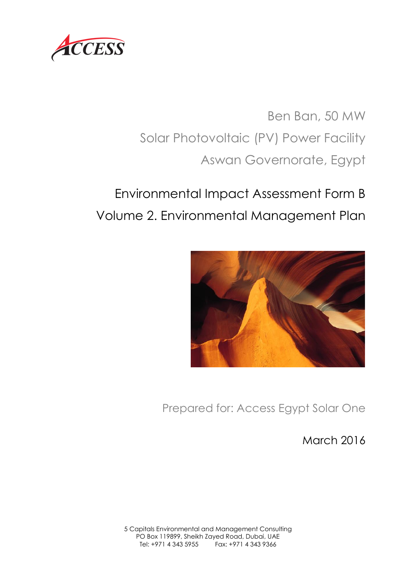

Ben Ban, 50 MW Solar Photovoltaic (PV) Power Facility Aswan Governorate, Egypt

# Environmental Impact Assessment Form B Volume 2. Environmental Management Plan



Prepared for: Access Egypt Solar One

March 2016

5 Capitals Environmental and Management Consulting PO Box 119899, Sheikh Zayed Road, Dubai, UAE Tel: +971 4 343 5955 Fax: +971 4 343 9366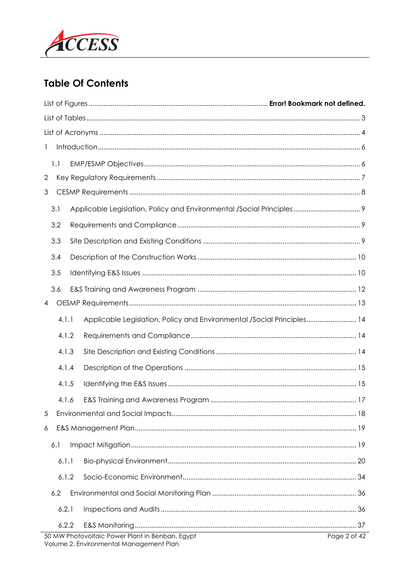

# **Table Of Contents**

| 1                                                                                          |              |
|--------------------------------------------------------------------------------------------|--------------|
| 1.1                                                                                        |              |
| 2                                                                                          |              |
| 3                                                                                          |              |
| 3.1                                                                                        |              |
| 3.2                                                                                        |              |
| 3.3                                                                                        |              |
| 3.4                                                                                        |              |
| 3.5                                                                                        |              |
| 3.6                                                                                        |              |
| $\overline{4}$                                                                             |              |
| 4.1.1<br>Applicable Legislation, Policy and Environmental /Social Principles 14            |              |
| 4.1.2                                                                                      |              |
| 4.1.3                                                                                      |              |
| 4.1.4                                                                                      |              |
| 4.1.5                                                                                      |              |
| 4.1.6                                                                                      |              |
| 5                                                                                          |              |
| 6                                                                                          |              |
| 6.1                                                                                        |              |
| 6.1.1                                                                                      |              |
| 6.1.2                                                                                      |              |
| 6.2                                                                                        |              |
| 6.2.1                                                                                      |              |
| 6.2.2                                                                                      |              |
| 50 MW Photovoltaic Power Plant in Benban, Egypt<br>Volume 2. Environmental Management Plan | Page 2 of 42 |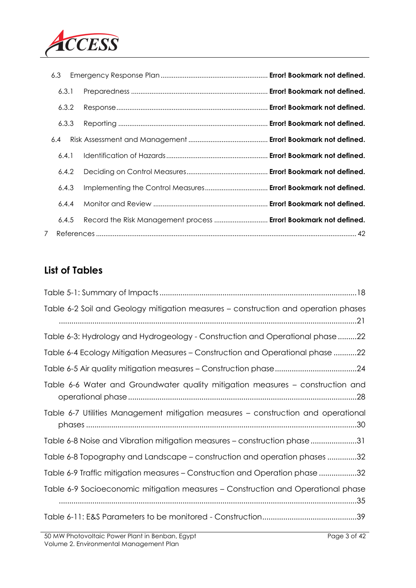

|                                                                  | 6.3   |
|------------------------------------------------------------------|-------|
|                                                                  | 6.3.1 |
|                                                                  | 6.3.2 |
|                                                                  | 6.3.3 |
|                                                                  | 6.4   |
|                                                                  | 6.4.1 |
|                                                                  | 6.4.2 |
| Implementing the Control Measures Error! Bookmark not defined.   | 6.4.3 |
|                                                                  | 6.4.4 |
| Record the Risk Management process  Error! Bookmark not defined. | 6.4.5 |
|                                                                  | 7     |

# **List of Tables**

| Table 6-2 Soil and Geology mitigation measures – construction and operation phases |
|------------------------------------------------------------------------------------|
| Table 6-3: Hydrology and Hydrogeology - Construction and Operational phase22       |
| Table 6-4 Ecology Mitigation Measures - Construction and Operational phase 22      |
|                                                                                    |
| Table 6-6 Water and Groundwater quality mitigation measures - construction and     |
| Table 6-7 Utilities Management mitigation measures – construction and operational  |
| Table 6-8 Noise and Vibration mitigation measures – construction phase 31          |
| Table 6-8 Topography and Landscape – construction and operation phases 32          |
| Table 6-9 Traffic mitigation measures – Construction and Operation phase 32        |
| Table 6-9 Socioeconomic mitigation measures – Construction and Operational phase   |
|                                                                                    |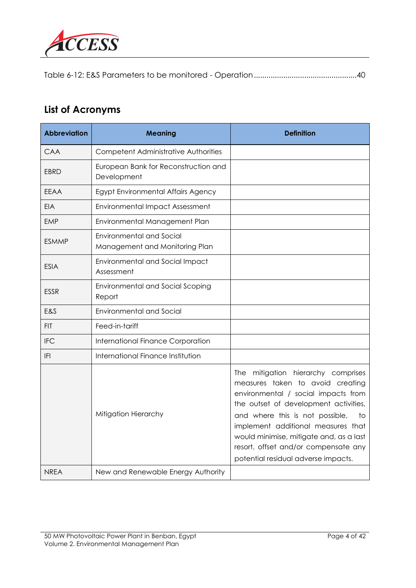

Table 6-12: E&S Parameters to be monitored - Operation.................................................40

# **List of Acronyms**

| <b>Abbreviation</b> | <b>Meaning</b>                                                    | <b>Definition</b>                                                                                                                                                                                                                                                                                                                                               |
|---------------------|-------------------------------------------------------------------|-----------------------------------------------------------------------------------------------------------------------------------------------------------------------------------------------------------------------------------------------------------------------------------------------------------------------------------------------------------------|
| CAA                 | <b>Competent Administrative Authorities</b>                       |                                                                                                                                                                                                                                                                                                                                                                 |
| EBRD                | European Bank for Reconstruction and<br>Development               |                                                                                                                                                                                                                                                                                                                                                                 |
| <b>EEAA</b>         | Egypt Environmental Affairs Agency                                |                                                                                                                                                                                                                                                                                                                                                                 |
| <b>EIA</b>          | <b>Environmental Impact Assessment</b>                            |                                                                                                                                                                                                                                                                                                                                                                 |
| <b>EMP</b>          | Environmental Management Plan                                     |                                                                                                                                                                                                                                                                                                                                                                 |
| ESMMP               | <b>Environmental and Social</b><br>Management and Monitoring Plan |                                                                                                                                                                                                                                                                                                                                                                 |
| <b>ESIA</b>         | Environmental and Social Impact<br>Assessment                     |                                                                                                                                                                                                                                                                                                                                                                 |
| <b>ESSR</b>         | <b>Environmental and Social Scoping</b><br>Report                 |                                                                                                                                                                                                                                                                                                                                                                 |
| E&S                 | <b>Environmental and Social</b>                                   |                                                                                                                                                                                                                                                                                                                                                                 |
| <b>FIT</b>          | Feed-in-tariff                                                    |                                                                                                                                                                                                                                                                                                                                                                 |
| <b>IFC</b>          | <b>International Finance Corporation</b>                          |                                                                                                                                                                                                                                                                                                                                                                 |
| F                   | International Finance Institution                                 |                                                                                                                                                                                                                                                                                                                                                                 |
|                     | Mitigation Hierarchy                                              | The mitigation hierarchy comprises<br>measures taken to avoid creating<br>environmental / social impacts from<br>the outset of development activities,<br>and where this is not possible,<br>to<br>implement additional measures that<br>would minimise, mitigate and, as a last<br>resort, offset and/or compensate any<br>potential residual adverse impacts. |
| <b>NREA</b>         | New and Renewable Energy Authority                                |                                                                                                                                                                                                                                                                                                                                                                 |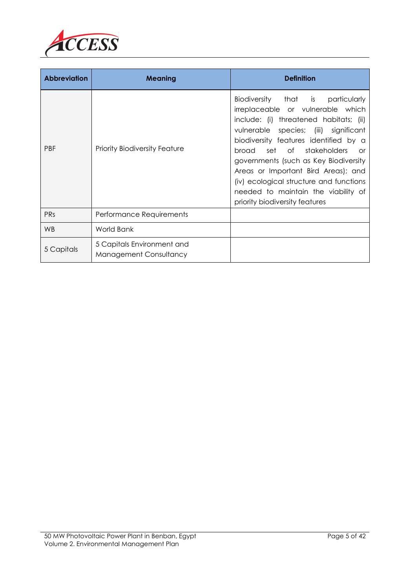

| <b>Abbreviation</b> | <b>Meaning</b>                                       | <b>Definition</b>                                                                                                                                                                                                                                                                                                                                                                                                                               |
|---------------------|------------------------------------------------------|-------------------------------------------------------------------------------------------------------------------------------------------------------------------------------------------------------------------------------------------------------------------------------------------------------------------------------------------------------------------------------------------------------------------------------------------------|
| <b>PBF</b>          | <b>Priority Biodiversity Feature</b>                 | Biodiversity that is<br>particularly<br>irreplaceable or vulnerable which<br>include: (i) threatened habitats; (ii)<br>vulnerable species; (iii) significant<br>biodiversity features identified by a<br>set of stakeholders<br>broad<br>or<br>governments (such as Key Biodiversity<br>Areas or Important Bird Areas); and<br>(iv) ecological structure and functions<br>needed to maintain the viability of<br>priority biodiversity features |
| <b>PRs</b>          | Performance Requirements                             |                                                                                                                                                                                                                                                                                                                                                                                                                                                 |
| <b>WB</b>           | <b>World Bank</b>                                    |                                                                                                                                                                                                                                                                                                                                                                                                                                                 |
| 5 Capitals          | 5 Capitals Environment and<br>Management Consultancy |                                                                                                                                                                                                                                                                                                                                                                                                                                                 |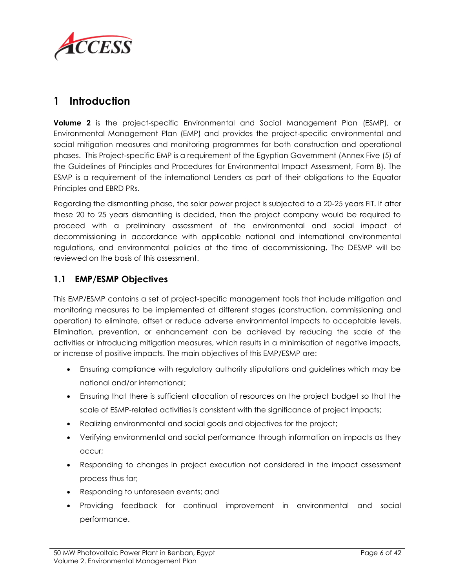

# **1 Introduction**

**Volume 2** is the project-specific Environmental and Social Management Plan (ESMP), or Environmental Management Plan (EMP) and provides the project-specific environmental and social mitigation measures and monitoring programmes for both construction and operational phases. This Project-specific EMP is a requirement of the Egyptian Government (Annex Five (5) of the Guidelines of Principles and Procedures for Environmental Impact Assessment, Form B). The ESMP is a requirement of the international Lenders as part of their obligations to the Equator Principles and EBRD PRs.

Regarding the dismantling phase, the solar power project is subjected to a 20-25 years FiT. If after these 20 to 25 years dismantling is decided, then the project company would be required to proceed with a preliminary assessment of the environmental and social impact of decommissioning in accordance with applicable national and international environmental regulations, and environmental policies at the time of decommissioning. The DESMP will be reviewed on the basis of this assessment.

#### **1.1 EMP/ESMP Objectives**

This EMP/ESMP contains a set of project-specific management tools that include mitigation and monitoring measures to be implemented at different stages (construction, commissioning and operation) to eliminate, offset or reduce adverse environmental impacts to acceptable levels. Elimination, prevention, or enhancement can be achieved by reducing the scale of the activities or introducing mitigation measures, which results in a minimisation of negative impacts, or increase of positive impacts. The main objectives of this EMP/ESMP are:

- Ensuring compliance with regulatory authority stipulations and guidelines which may be national and/or international;
- Ensuring that there is sufficient allocation of resources on the project budget so that the scale of ESMP-related activities is consistent with the significance of project impacts;
- Realizing environmental and social goals and objectives for the project;
- Verifying environmental and social performance through information on impacts as they occur;
- Responding to changes in project execution not considered in the impact assessment process thus far;
- Responding to unforeseen events; and
- Providing feedback for continual improvement in environmental and social performance.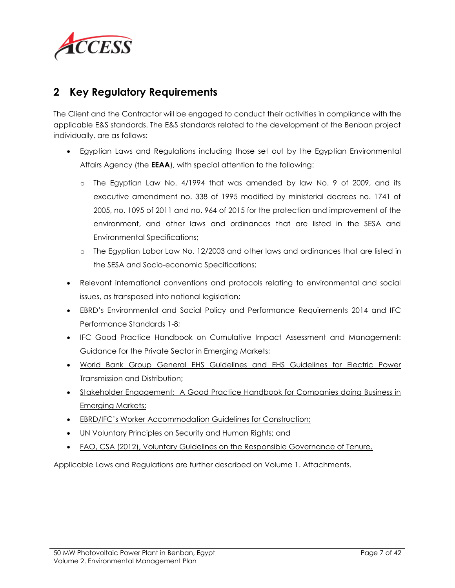

### <span id="page-6-0"></span>**2 Key Regulatory Requirements**

The Client and the Contractor will be engaged to conduct their activities in compliance with the applicable E&S standards. The E&S standards related to the development of the Benban project individually, are as follows:

- Egyptian Laws and Regulations including those set out by the Egyptian Environmental Affairs Agency (the **EEAA**), with special attention to the following:
	- o The Egyptian Law No. 4/1994 that was amended by law No. 9 of 2009, and its executive amendment no. 338 of 1995 modified by ministerial decrees no. 1741 of 2005, no. 1095 of 2011 and no. 964 of 2015 for the protection and improvement of the environment, and other laws and ordinances that are listed in the SESA and Environmental Specifications;
	- o The Egyptian Labor Law No. 12/2003 and other laws and ordinances that are listed in the SESA and Socio-economic Specifications;
- Relevant international conventions and protocols relating to environmental and social issues, as transposed into national legislation;
- EBRD's Environmental and Social Policy and Performance Requirements 2014 and IFC Performance Standards 1-8;
- IFC Good Practice Handbook on Cumulative Impact Assessment and Management: Guidance for the Private Sector in Emerging Markets;
- [World Bank Group General EHS Guidelines and EHS Guidelines for Electric Power](http://www.ifc.org/wps/wcm/connect/topics_ext_content/ifc_external_corporate_site/ifc+sustainability/our+approach/risk+management/ehsguidelines)  [Transmission and Distribution;](http://www.ifc.org/wps/wcm/connect/topics_ext_content/ifc_external_corporate_site/ifc+sustainability/our+approach/risk+management/ehsguidelines)
- Stakeholder Engagement: A Good Practice Handbook for Companies doing Business in [Emerging Markets;](http://www.ifc.org/wps/wcm/connect/938f1a0048855805beacfe6a6515bb18/IFC_StakeholderEngagement.pdf?MOD=AJPERES)
- [EBRD/IFC's Worker Accommodation Guidelines for Construction;](http://www.ifc.org/wps/wcm/connect/topics_ext_content/ifc_external_corporate_site/ifc+sustainability/learning+and+adapting/knowledge+products/publications/publications_gpn_workersaccommodation)
- [UN Voluntary Principles on Security and Human Rights;](http://www.voluntaryprinciples.org/) and
- [FAO, CSA \(2012\), Voluntary Guidelines on the Responsible Governance of Tenure.](http://www.fao.org/docrep/016/i2801e/i2801e.pdf)

Applicable Laws and Regulations are further described on Volume 1. Attachments.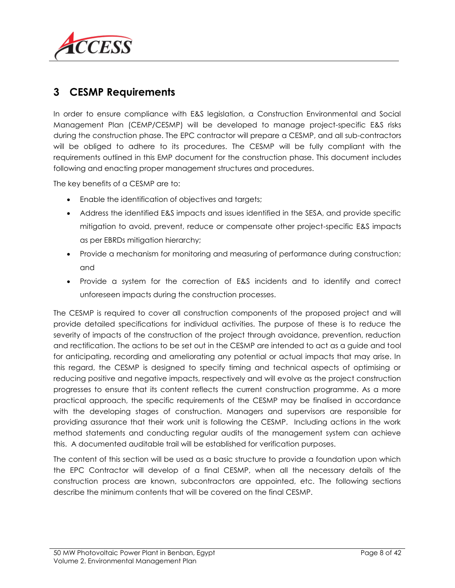

### **3 CESMP Requirements**

In order to ensure compliance with E&S legislation, a Construction Environmental and Social Management Plan (CEMP/CESMP) will be developed to manage project-specific E&S risks during the construction phase. The EPC contractor will prepare a CESMP, and all sub-contractors will be obliged to adhere to its procedures. The CESMP will be fully compliant with the requirements outlined in this EMP document for the construction phase. This document includes following and enacting proper management structures and procedures.

The key benefits of a CESMP are to:

- Enable the identification of objectives and targets;
- Address the identified E&S impacts and issues identified in the SESA, and provide specific mitigation to avoid, prevent, reduce or compensate other project-specific E&S impacts as per EBRDs mitigation hierarchy;
- Provide a mechanism for monitoring and measuring of performance during construction; and
- Provide a system for the correction of E&S incidents and to identify and correct unforeseen impacts during the construction processes.

The CESMP is required to cover all construction components of the proposed project and will provide detailed specifications for individual activities. The purpose of these is to reduce the severity of impacts of the construction of the project through avoidance, prevention, reduction and rectification. The actions to be set out in the CESMP are intended to act as a guide and tool for anticipating, recording and ameliorating any potential or actual impacts that may arise. In this regard, the CESMP is designed to specify timing and technical aspects of optimising or reducing positive and negative impacts, respectively and will evolve as the project construction progresses to ensure that its content reflects the current construction programme. As a more practical approach, the specific requirements of the CESMP may be finalised in accordance with the developing stages of construction. Managers and supervisors are responsible for providing assurance that their work unit is following the CESMP. Including actions in the work method statements and conducting regular audits of the management system can achieve this. A documented auditable trail will be established for verification purposes.

The content of this section will be used as a basic structure to provide a foundation upon which the EPC Contractor will develop of a final CESMP, when all the necessary details of the construction process are known, subcontractors are appointed, etc. The following sections describe the minimum contents that will be covered on the final CESMP.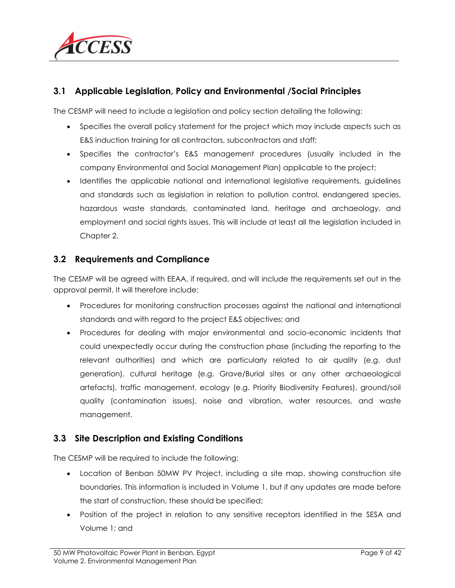

#### **3.1 Applicable Legislation, Policy and Environmental /Social Principles**

The CESMP will need to include a legislation and policy section detailing the following:

- Specifies the overall policy statement for the project which may include aspects such as E&S induction training for all contractors, subcontractors and staff;
- Specifies the contractor's E&S management procedures (usually included in the company Environmental and Social Management Plan) applicable to the project;
- Identifies the applicable national and international legislative requirements, guidelines and standards such as legislation in relation to pollution control, endangered species, hazardous waste standards, contaminated land, heritage and archaeology, and employment and social rights issues. This will include at least all the legislation included in Chapter 2.

#### **3.2 Requirements and Compliance**

The CESMP will be agreed with EEAA, if required, and will include the requirements set out in the approval permit. It will therefore include:

- Procedures for monitoring construction processes against the national and international standards and with regard to the project E&S objectives; and
- Procedures for dealing with major environmental and socio-economic incidents that could unexpectedly occur during the construction phase (including the reporting to the relevant authorities) and which are particularly related to air quality (e.g. dust generation), cultural heritage (e.g. Grave/Burial sites or any other archaeological artefacts), traffic management, ecology (e.g. Priority Biodiversity Features), ground/soil quality (contamination issues), noise and vibration, water resources, and waste management.

#### **3.3 Site Description and Existing Conditions**

The CESMP will be required to include the following:

- Location of Benban 50MW PV Project, including a site map, showing construction site boundaries. This information is included in Volume 1, but if any updates are made before the start of construction, these should be specified;
- Position of the project in relation to any sensitive receptors identified in the SESA and Volume 1; and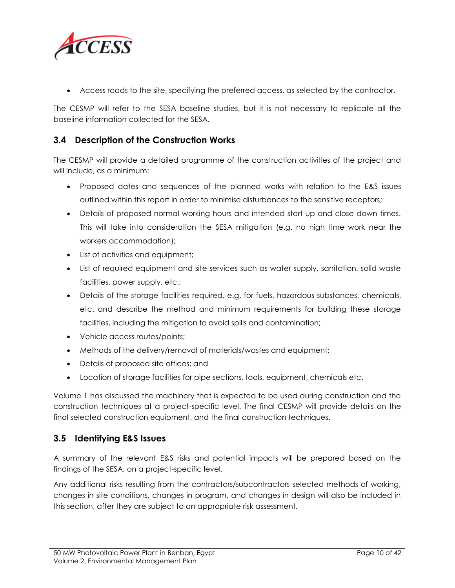

Access roads to the site, specifying the preferred access, as selected by the contractor.

The CESMP will refer to the SESA baseline studies, but it is not necessary to replicate all the baseline information collected for the SESA.

#### **3.4 Description of the Construction Works**

The CESMP will provide a detailed programme of the construction activities of the project and will include, as a minimum:

- Proposed dates and sequences of the planned works with relation to the E&S issues outlined within this report in order to minimise disturbances to the sensitive receptors;
- Details of proposed normal working hours and intended start up and close down times. This will take into consideration the SESA mitigation (e.g. no nigh time work near the workers accommodation);
- List of activities and equipment;
- List of required equipment and site services such as water supply, sanitation, solid waste facilities, power supply, etc.;
- Details of the storage facilities required, e.g. for fuels, hazardous substances, chemicals, etc. and describe the method and minimum requirements for building these storage facilities, including the mitigation to avoid spills and contamination;
- Vehicle access routes/points;
- Methods of the delivery/removal of materials/wastes and equipment;
- Details of proposed site offices; and
- Location of storage facilities for pipe sections, tools, equipment, chemicals etc.

Volume 1 has discussed the machinery that is expected to be used during construction and the construction techniques at a project-specific level. The final CESMP will provide details on the final selected construction equipment, and the final construction techniques.

#### **3.5 Identifying E&S Issues**

A summary of the relevant E&S risks and potential impacts will be prepared based on the findings of the SESA, on a project-specific level.

Any additional risks resulting from the contractors/subcontractors selected methods of working, changes in site conditions, changes in program, and changes in design will also be included in this section, after they are subject to an appropriate risk assessment.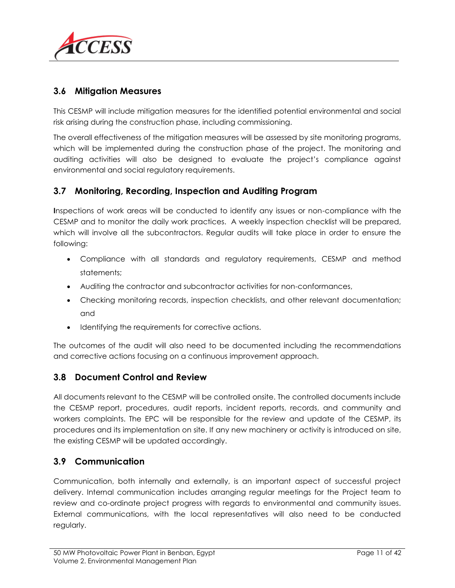

#### **3.6 Mitigation Measures**

This CESMP will include mitigation measures for the identified potential environmental and social risk arising during the construction phase, including commissioning.

The overall effectiveness of the mitigation measures will be assessed by site monitoring programs, which will be implemented during the construction phase of the project. The monitoring and auditing activities will also be designed to evaluate the project's compliance against environmental and social regulatory requirements.

#### **3.7 Monitoring, Recording, Inspection and Auditing Program**

**I**nspections of work areas will be conducted to identify any issues or non-compliance with the CESMP and to monitor the daily work practices. A weekly inspection checklist will be prepared, which will involve all the subcontractors. Regular audits will take place in order to ensure the following:

- Compliance with all standards and regulatory requirements, CESMP and method statements;
- Auditing the contractor and subcontractor activities for non-conformances,
- Checking monitoring records, inspection checklists, and other relevant documentation; and
- Identifying the requirements for corrective actions.

The outcomes of the audit will also need to be documented including the recommendations and corrective actions focusing on a continuous improvement approach.

#### **3.8 Document Control and Review**

All documents relevant to the CESMP will be controlled onsite. The controlled documents include the CESMP report, procedures, audit reports, incident reports, records, and community and workers complaints. The EPC will be responsible for the review and update of the CESMP, its procedures and its implementation on site. If any new machinery or activity is introduced on site, the existing CESMP will be updated accordingly.

#### **3.9 Communication**

Communication, both internally and externally, is an important aspect of successful project delivery. Internal communication includes arranging regular meetings for the Project team to review and co-ordinate project progress with regards to environmental and community issues. External communications, with the local representatives will also need to be conducted regularly.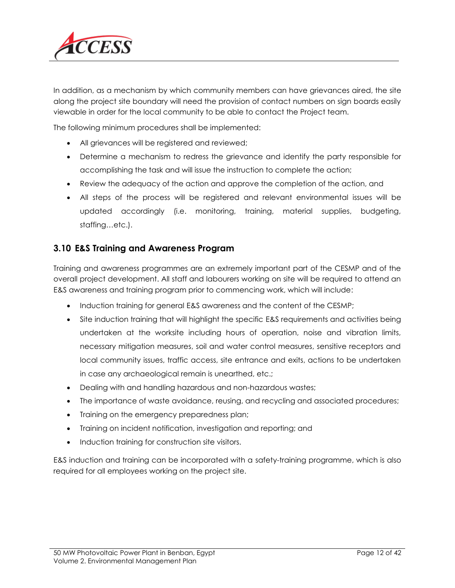

In addition, as a mechanism by which community members can have grievances aired, the site along the project site boundary will need the provision of contact numbers on sign boards easily viewable in order for the local community to be able to contact the Project team.

The following minimum procedures shall be implemented:

- All grievances will be registered and reviewed;
- Determine a mechanism to redress the grievance and identify the party responsible for accomplishing the task and will issue the instruction to complete the action;
- Review the adequacy of the action and approve the completion of the action, and
- All steps of the process will be registered and relevant environmental issues will be updated accordingly (i.e. monitoring, training, material supplies, budgeting, staffing…etc.).

#### **3.10 E&S Training and Awareness Program**

Training and awareness programmes are an extremely important part of the CESMP and of the overall project development. All staff and labourers working on site will be required to attend an E&S awareness and training program prior to commencing work, which will include:

- Induction training for general E&S awareness and the content of the CESMP;
- Site induction training that will highlight the specific E&S requirements and activities being undertaken at the worksite including hours of operation, noise and vibration limits, necessary mitigation measures, soil and water control measures, sensitive receptors and local community issues, traffic access, site entrance and exits, actions to be undertaken in case any archaeological remain is unearthed, etc.;
- Dealing with and handling hazardous and non-hazardous wastes;
- The importance of waste avoidance, reusing, and recycling and associated procedures;
- Training on the emergency preparedness plan;
- Training on incident notification, investigation and reporting; and
- Induction training for construction site visitors.

E&S induction and training can be incorporated with a safety-training programme, which is also required for all employees working on the project site.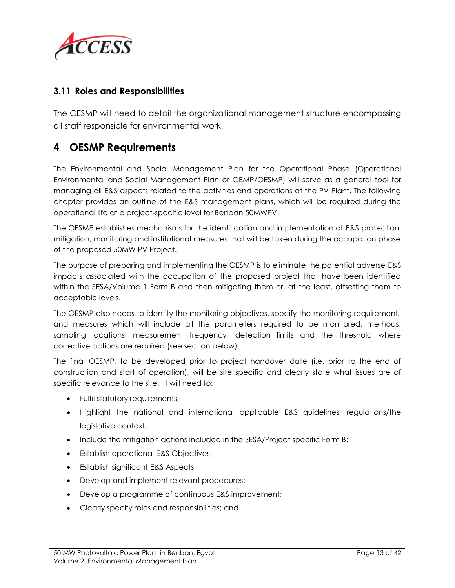

#### **3.11 Roles and Responsibilities**

The CESMP will need to detail the organizational management structure encompassing all staff responsible for environmental work.

# **4 OESMP Requirements**

The Environmental and Social Management Plan for the Operational Phase (Operational Environmental and Social Management Plan or OEMP/OESMP) will serve as a general tool for managing all E&S aspects related to the activities and operations at the PV Plant. The following chapter provides an outline of the E&S management plans, which will be required during the operational life at a project-specific level for Benban 50MWPV.

The OESMP establishes mechanisms for the identification and implementation of E&S protection, mitigation, monitoring and institutional measures that will be taken during the occupation phase of the proposed 50MW PV Project.

The purpose of preparing and implementing the OESMP is to eliminate the potential adverse E&S impacts associated with the occupation of the proposed project that have been identified within the SESA/Volume 1 Form B and then mitigating them or, at the least, offsetting them to acceptable levels.

The OESMP also needs to identity the monitoring objectives, specify the monitoring requirements and measures which will include all the parameters required to be monitored, methods, sampling locations, measurement frequency, detection limits and the threshold where corrective actions are required (see section below).

The final OESMP, to be developed prior to project handover date (i.e. prior to the end of construction and start of operation), will be site specific and clearly state what issues are of specific relevance to the site. It will need to:

- Fulfil statutory requirements;
- Highlight the national and international applicable E&S guidelines, regulations/the legislative context;
- Include the mitigation actions included in the SESA/Project specific Form B;
- Establish operational E&S Objectives;
- Establish significant E&S Aspects;
- Develop and implement relevant procedures;
- Develop a programme of continuous E&S improvement;
- Clearly specify roles and responsibilities; and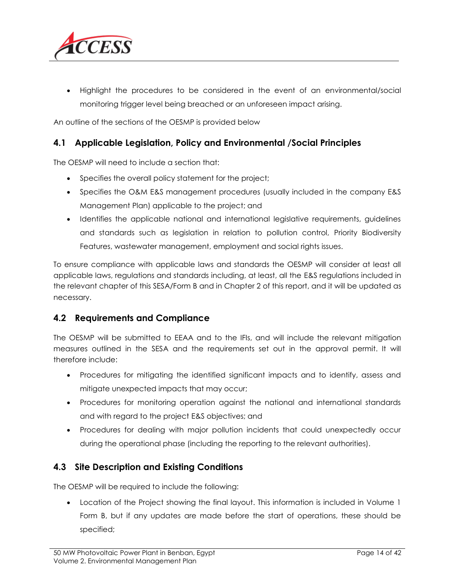

 Highlight the procedures to be considered in the event of an environmental/social monitoring trigger level being breached or an unforeseen impact arising.

An outline of the sections of the OESMP is provided below

#### **4.1 Applicable Legislation, Policy and Environmental /Social Principles**

The OESMP will need to include a section that:

- Specifies the overall policy statement for the project;
- Specifies the O&M E&S management procedures (usually included in the company E&S Management Plan) applicable to the project; and
- Identifies the applicable national and international legislative requirements, guidelines and standards such as legislation in relation to pollution control, Priority Biodiversity Features, wastewater management, employment and social rights issues.

To ensure compliance with applicable laws and standards the OESMP will consider at least all applicable laws, regulations and standards including, at least, all the E&S regulations included in the relevant chapter of this SESA/Form B and in Chapter [2](#page-6-0) of this report, and it will be updated as necessary.

#### **4.2 Requirements and Compliance**

The OESMP will be submitted to EEAA and to the IFIs, and will include the relevant mitigation measures outlined in the SESA and the requirements set out in the approval permit. It will therefore include:

- Procedures for mitigating the identified significant impacts and to identify, assess and mitigate unexpected impacts that may occur;
- Procedures for monitoring operation against the national and international standards and with regard to the project E&S objectives; and
- Procedures for dealing with major pollution incidents that could unexpectedly occur during the operational phase (including the reporting to the relevant authorities).

#### **4.3 Site Description and Existing Conditions**

The OESMP will be required to include the following:

 Location of the Project showing the final layout. This information is included in Volume 1 Form B, but if any updates are made before the start of operations, these should be specified;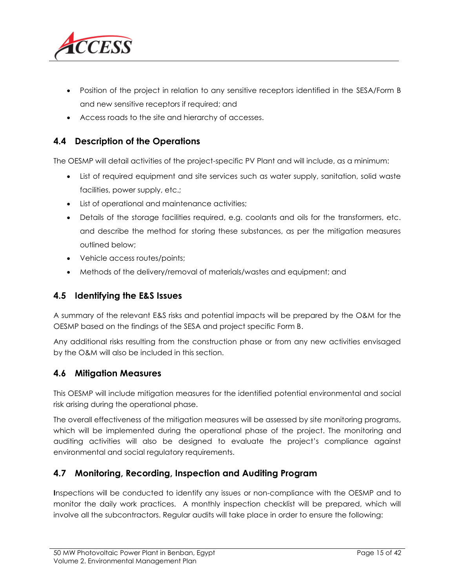

- Position of the project in relation to any sensitive receptors identified in the SESA/Form B and new sensitive receptors if required; and
- Access roads to the site and hierarchy of accesses.

#### **4.4 Description of the Operations**

The OESMP will detail activities of the project-specific PV Plant and will include, as a minimum:

- List of required equipment and site services such as water supply, sanitation, solid waste facilities, power supply, etc.;
- List of operational and maintenance activities;
- Details of the storage facilities required, e.g. coolants and oils for the transformers, etc. and describe the method for storing these substances, as per the mitigation measures outlined below;
- Vehicle access routes/points;
- Methods of the delivery/removal of materials/wastes and equipment; and

#### **4.5 Identifying the E&S Issues**

A summary of the relevant E&S risks and potential impacts will be prepared by the O&M for the OESMP based on the findings of the SESA and project specific Form B.

Any additional risks resulting from the construction phase or from any new activities envisaged by the O&M will also be included in this section.

#### **4.6 Mitigation Measures**

This OESMP will include mitigation measures for the identified potential environmental and social risk arising during the operational phase.

The overall effectiveness of the mitigation measures will be assessed by site monitoring programs, which will be implemented during the operational phase of the project. The monitoring and auditing activities will also be designed to evaluate the project's compliance against environmental and social regulatory requirements.

#### **4.7 Monitoring, Recording, Inspection and Auditing Program**

**I**nspections will be conducted to identify any issues or non-compliance with the OESMP and to monitor the daily work practices. A monthly inspection checklist will be prepared, which will involve all the subcontractors. Regular audits will take place in order to ensure the following: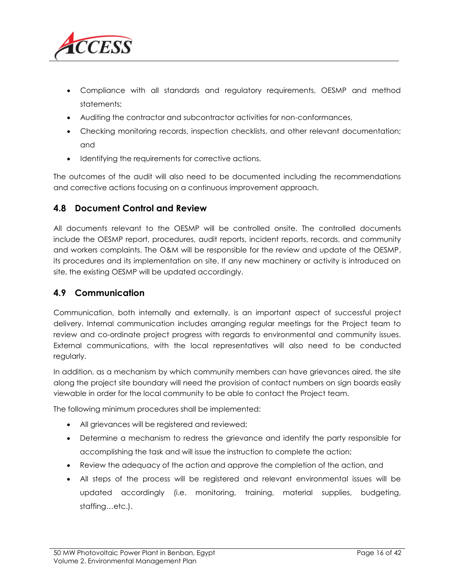

- Compliance with all standards and regulatory requirements, OESMP and method statements;
- Auditing the contractor and subcontractor activities for non-conformances,
- Checking monitoring records, inspection checklists, and other relevant documentation; and
- Identifying the requirements for corrective actions.

The outcomes of the audit will also need to be documented including the recommendations and corrective actions focusing on a continuous improvement approach.

#### **4.8 Document Control and Review**

All documents relevant to the OESMP will be controlled onsite. The controlled documents include the OESMP report, procedures, audit reports, incident reports, records, and community and workers complaints. The O&M will be responsible for the review and update of the OESMP, its procedures and its implementation on site. If any new machinery or activity is introduced on site, the existing OESMP will be updated accordingly.

#### **4.9 Communication**

Communication, both internally and externally, is an important aspect of successful project delivery. Internal communication includes arranging regular meetings for the Project team to review and co-ordinate project progress with regards to environmental and community issues. External communications, with the local representatives will also need to be conducted regularly.

In addition, as a mechanism by which community members can have grievances aired, the site along the project site boundary will need the provision of contact numbers on sign boards easily viewable in order for the local community to be able to contact the Project team.

The following minimum procedures shall be implemented:

- All grievances will be registered and reviewed;
- Determine a mechanism to redress the grievance and identify the party responsible for accomplishing the task and will issue the instruction to complete the action;
- Review the adequacy of the action and approve the completion of the action, and
- All steps of the process will be registered and relevant environmental issues will be updated accordingly (i.e. monitoring, training, material supplies, budgeting, staffing…etc.).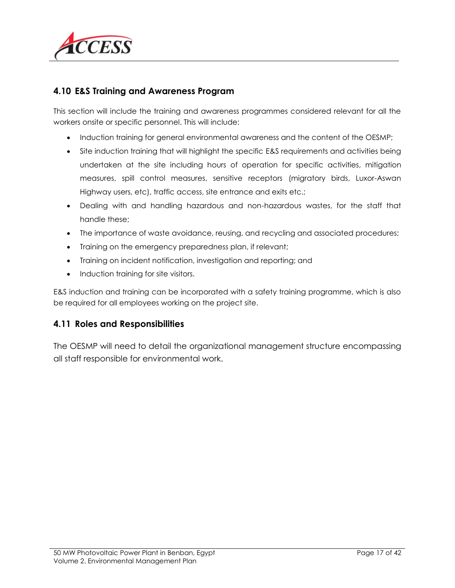

#### **4.10 E&S Training and Awareness Program**

This section will include the training and awareness programmes considered relevant for all the workers onsite or specific personnel. This will include:

- Induction training for general environmental awareness and the content of the OESMP;
- Site induction training that will highlight the specific E&S requirements and activities being undertaken at the site including hours of operation for specific activities, mitigation measures, spill control measures, sensitive receptors (migratory birds, Luxor-Aswan Highway users, etc), traffic access, site entrance and exits etc.;
- Dealing with and handling hazardous and non-hazardous wastes, for the staff that handle these;
- The importance of waste avoidance, reusing, and recycling and associated procedures;
- Training on the emergency preparedness plan, if relevant;
- Training on incident notification, investigation and reporting; and
- Induction training for site visitors.

E&S induction and training can be incorporated with a safety training programme, which is also be required for all employees working on the project site.

#### **4.11 Roles and Responsibilities**

The OESMP will need to detail the organizational management structure encompassing all staff responsible for environmental work.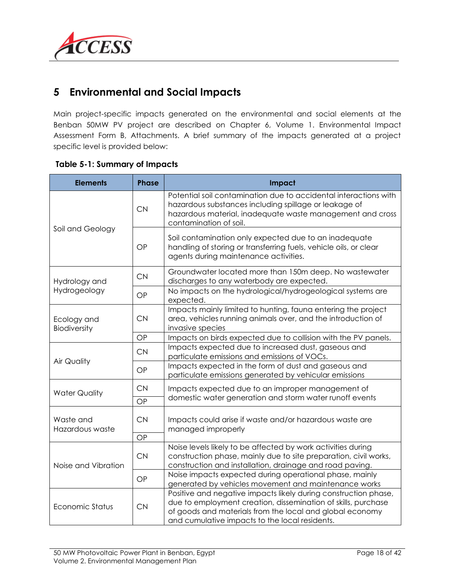

# **5 Environmental and Social Impacts**

Main project-specific impacts generated on the environmental and social elements at the Benban 50MW PV project are described on Chapter 6, Volume 1. Environmental Impact Assessment Form B, Attachments. A brief summary of the impacts generated at a project specific level is provided below:

| <b>Elements</b>              | <b>Phase</b><br>Impact |                                                                                                                                                                                                                                                |  |
|------------------------------|------------------------|------------------------------------------------------------------------------------------------------------------------------------------------------------------------------------------------------------------------------------------------|--|
|                              | <b>CN</b>              | Potential soil contamination due to accidental interactions with<br>hazardous substances including spillage or leakage of<br>hazardous material, inadequate waste management and cross<br>contamination of soil.                               |  |
| Soil and Geology             | OP                     | Soil contamination only expected due to an inadequate<br>handling of storing or transferring fuels, vehicle oils, or clear<br>agents during maintenance activities.                                                                            |  |
| Hydrology and                | <b>CN</b>              | Groundwater located more than 150m deep. No wastewater<br>discharges to any waterbody are expected.                                                                                                                                            |  |
| Hydrogeology                 | OP                     | No impacts on the hydrological/hydrogeological systems are<br>expected.                                                                                                                                                                        |  |
| Ecology and<br>Biodiversity  | <b>CN</b>              | Impacts mainly limited to hunting, fauna entering the project<br>area, vehicles running animals over, and the introduction of<br>invasive species                                                                                              |  |
|                              | OP                     | Impacts on birds expected due to collision with the PV panels.                                                                                                                                                                                 |  |
|                              | <b>CN</b>              | Impacts expected due to increased dust, gaseous and<br>particulate emissions and emissions of VOCs.                                                                                                                                            |  |
| <b>Air Quality</b>           | OP                     | Impacts expected in the form of dust and gaseous and<br>particulate emissions generated by vehicular emissions                                                                                                                                 |  |
| <b>Water Quality</b>         | <b>CN</b><br>OP        | Impacts expected due to an improper management of<br>domestic water generation and storm water runoff events                                                                                                                                   |  |
| Waste and<br>Hazardous waste | <b>CN</b><br>OP        | Impacts could arise if waste and/or hazardous waste are<br>managed improperly                                                                                                                                                                  |  |
| Noise and Vibration          | CN                     | Noise levels likely to be affected by work activities during<br>construction phase, mainly due to site preparation, civil works,<br>construction and installation, drainage and road paving.                                                   |  |
|                              | OP                     | Noise impacts expected during operational phase, mainly<br>generated by vehicles movement and maintenance works                                                                                                                                |  |
| Economic Status              | <b>CN</b>              | Positive and negative impacts likely during construction phase,<br>due to employment creation, dissemination of skills, purchase<br>of goods and materials from the local and global economy<br>and cumulative impacts to the local residents. |  |

#### **Table 5-1: Summary of Impacts**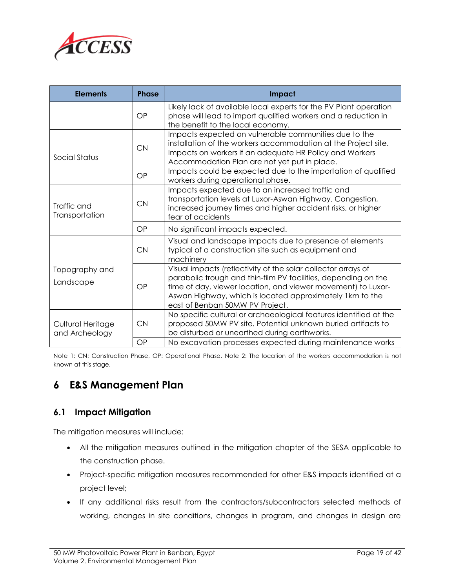

| <b>Elements</b><br><b>Phase</b>     |           | <b>Impact</b>                                                                                                                                                                                                                                                                                  |
|-------------------------------------|-----------|------------------------------------------------------------------------------------------------------------------------------------------------------------------------------------------------------------------------------------------------------------------------------------------------|
|                                     | OP        | Likely lack of available local experts for the PV Plant operation<br>phase will lead to import qualified workers and a reduction in<br>the benefit to the local economy.                                                                                                                       |
| Social Status                       | <b>CN</b> | Impacts expected on vulnerable communities due to the<br>installation of the workers accommodation at the Project site.<br>Impacts on workers if an adequate HR Policy and Workers<br>Accommodation Plan are not yet put in place.                                                             |
|                                     | OP        | Impacts could be expected due to the importation of qualified<br>workers during operational phase.                                                                                                                                                                                             |
| Traffic and<br>Transportation       | <b>CN</b> | Impacts expected due to an increased traffic and<br>transportation levels at Luxor-Aswan Highway. Congestion,<br>increased journey times and higher accident risks, or higher<br>fear of accidents                                                                                             |
|                                     | OP        | No significant impacts expected.                                                                                                                                                                                                                                                               |
|                                     | <b>CN</b> | Visual and landscape impacts due to presence of elements<br>typical of a construction site such as equipment and<br>machinery                                                                                                                                                                  |
| Topography and<br>Landscape         | OP        | Visual impacts (reflectivity of the solar collector arrays of<br>parabolic trough and thin-film PV facilities, depending on the<br>time of day, viewer location, and viewer movement) to Luxor-<br>Aswan Highway, which is located approximately 1km to the<br>east of Benban 50MW PV Project. |
| Cultural Heritage<br>and Archeology | <b>CN</b> | No specific cultural or archaeological features identified at the<br>proposed 50MW PV site. Potential unknown buried artifacts to<br>be disturbed or unearthed during earthworks.                                                                                                              |
|                                     | OP        | No excavation processes expected during maintenance works                                                                                                                                                                                                                                      |

Note 1: CN: Construction Phase, OP: Operational Phase. Note 2: The location of the workers accommodation is not known at this stage.

# **6 E&S Management Plan**

#### **6.1 Impact Mitigation**

The mitigation measures will include:

- All the mitigation measures outlined in the mitigation chapter of the SESA applicable to the construction phase.
- Project-specific mitigation measures recommended for other E&S impacts identified at a project level;
- If any additional risks result from the contractors/subcontractors selected methods of working, changes in site conditions, changes in program, and changes in design are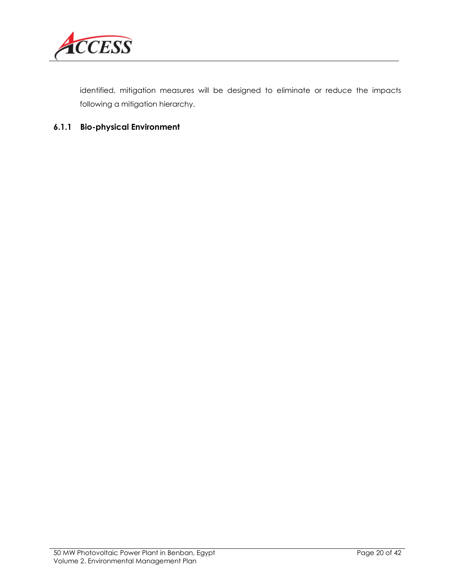

identified, mitigation measures will be designed to eliminate or reduce the impacts following a mitigation hierarchy.

#### **6.1.1 Bio-physical Environment**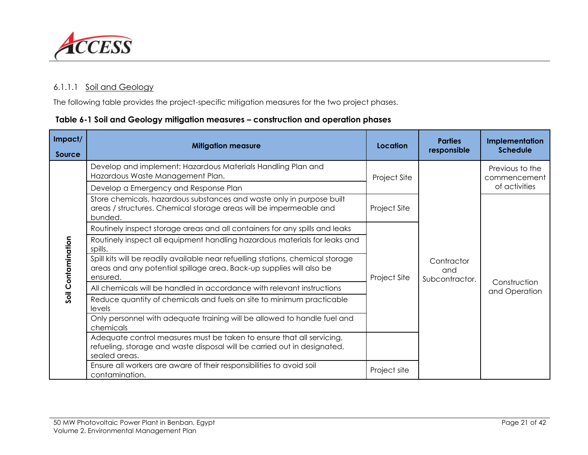

#### 6.1.1.1 Soil and Geology

The following table provides the project-specific mitigation measures for the two project phases.

#### **Table 6-1 Soil and Geology mitigation measures – construction and operation phases**

| Impact/<br><b>Source</b> | <b>Mitigation measure</b>                                                                                                                                           | Location     | <b>Parties</b><br>responsible       | Implementation<br><b>Schedule</b> |
|--------------------------|---------------------------------------------------------------------------------------------------------------------------------------------------------------------|--------------|-------------------------------------|-----------------------------------|
|                          | Develop and implement: Hazardous Materials Handling Plan and<br>Hazardous Waste Management Plan.                                                                    | Project Site |                                     | Previous to the<br>commencement   |
|                          | Develop a Emergency and Response Plan                                                                                                                               |              |                                     | of activities                     |
|                          | Store chemicals, hazardous substances and waste only in purpose built<br>areas / structures. Chemical storage areas will be impermeable and<br>bunded.              | Project Site |                                     |                                   |
|                          | Routinely inspect storage areas and all containers for any spills and leaks                                                                                         |              | Contractor<br>and<br>Subcontractor. | Construction<br>and Operation     |
| Soil Contamination       | Routinely inspect all equipment handling hazardous materials for leaks and<br>spills.                                                                               |              |                                     |                                   |
|                          | Spill kits will be readily available near refuelling stations, chemical storage<br>areas and any potential spillage area. Back-up supplies will also be<br>ensured. | Project Site |                                     |                                   |
|                          | All chemicals will be handled in accordance with relevant instructions                                                                                              |              |                                     |                                   |
|                          | Reduce quantity of chemicals and fuels on site to minimum practicable<br>levels                                                                                     |              |                                     |                                   |
|                          | Only personnel with adequate training will be allowed to handle fuel and<br>chemicals                                                                               |              |                                     |                                   |
|                          | Adequate control measures must be taken to ensure that all servicing,<br>refueling, storage and waste disposal will be carried out in designated,<br>sealed areas.  |              |                                     |                                   |
|                          | Ensure all workers are aware of their responsibilities to avoid soil<br>contamination.                                                                              | Project site |                                     |                                   |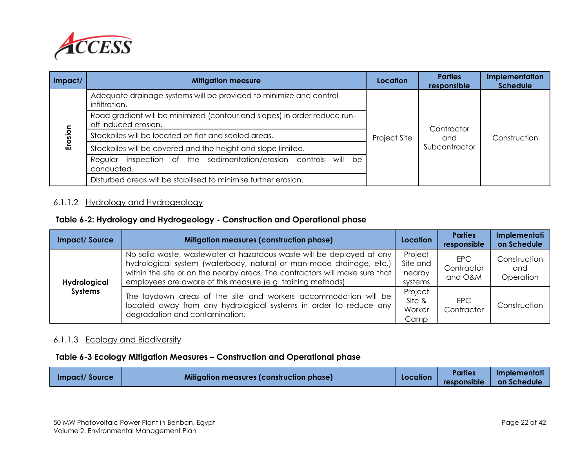

| Impact/ | <b>Mitigation measure</b>                                                                         | Location     | <b>Parties</b><br>responsible | Implementation<br><b>Schedule</b> |  |  |
|---------|---------------------------------------------------------------------------------------------------|--------------|-------------------------------|-----------------------------------|--|--|
|         | Adequate drainage systems will be provided to minimize and control<br>infiltration.               |              |                               |                                   |  |  |
| Erosion | Road gradient will be minimized (contour and slopes) in order reduce run-<br>off induced erosion. | Contractor   |                               |                                   |  |  |
|         | Stockpiles will be located on flat and sealed areas.                                              | Project Site | and<br>Subcontractor          | Construction                      |  |  |
|         | Stockpiles will be covered and the height and slope limited.                                      |              |                               |                                   |  |  |
|         | Regular inspection of the sedimentation/erosion controls will be<br>conducted.                    |              |                               |                                   |  |  |
|         | Disturbed areas will be stabilised to minimise further erosion.                                   |              |                               |                                   |  |  |

#### 6.1.1.2 Hydrology and Hydrogeology

#### **Table 6-2: Hydrology and Hydrogeology - Construction and Operational phase**

| <b>Impact/Source</b>           | <b>Mitigation measures (construction phase)</b>                                                                                                                                                                                                                                            | Location                                 | <b>Parties</b><br>responsible | Implementati<br>on Schedule      |
|--------------------------------|--------------------------------------------------------------------------------------------------------------------------------------------------------------------------------------------------------------------------------------------------------------------------------------------|------------------------------------------|-------------------------------|----------------------------------|
| Hydrological<br><b>Systems</b> | No solid waste, wastewater or hazardous waste will be deployed at any<br>hydrological system (waterbody, natural or man-made drainage, etc.)<br>within the site or on the nearby areas. The contractors will make sure that<br>employees are aware of this measure (e.g. training methods) | Project<br>Site and<br>nearby<br>systems | EPC.<br>Contractor<br>and O&M | Construction<br>and<br>Operation |
|                                | The laydown areas of the site and workers accommodation will be<br>located away from any hydrological systems in order to reduce any<br>degradation and contamination.                                                                                                                     | Project<br>Site &<br>Worker<br>Camp      | EPC<br>Contractor             | Construction                     |

#### 6.1.1.3 Ecology and Biodiversity

#### **Table 6-3 Ecology Mitigation Measures – Construction and Operational phase**

| <b>Impact/Source</b> | Mitigation measures (construction phase) | Location | <b>Parties</b> | <b>Implementati</b> |
|----------------------|------------------------------------------|----------|----------------|---------------------|
|                      |                                          |          | responsible    | <b>on Schedule</b>  |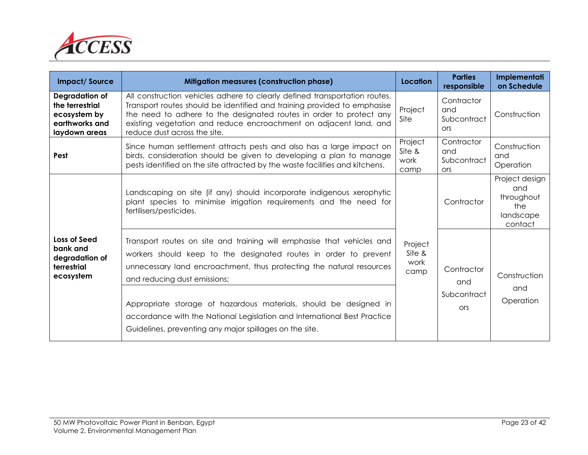

| <b>Impact/Source</b>                                                                 | <b>Mitigation measures (construction phase)</b>                                                                                                                                                                                                                                                                                    | Location                          | <b>Parties</b><br>responsible                  | Implementati<br>on Schedule                                        |
|--------------------------------------------------------------------------------------|------------------------------------------------------------------------------------------------------------------------------------------------------------------------------------------------------------------------------------------------------------------------------------------------------------------------------------|-----------------------------------|------------------------------------------------|--------------------------------------------------------------------|
| Degradation of<br>the terrestrial<br>ecosystem by<br>earthworks and<br>laydown areas | All construction vehicles adhere to clearly defined transportation routes.<br>Transport routes should be identified and training provided to emphasise<br>the need to adhere to the designated routes in order to protect any<br>existing vegetation and reduce encroachment on adjacent land, and<br>reduce dust across the site. | Project<br>Site                   | Contractor<br>and<br>Subcontract<br><b>ors</b> | Construction                                                       |
| Pest                                                                                 | Since human settlement attracts pests and also has a large impact on<br>birds, consideration should be given to developing a plan to manage<br>pests identified on the site attracted by the waste facilities and kitchens.                                                                                                        | Project<br>Site &<br>work<br>camp | Contractor<br>and<br>Subcontract<br><b>ors</b> | Construction<br>and<br>Operation                                   |
|                                                                                      | Landscaping on site (if any) should incorporate indigenous xerophytic<br>plant species to minimise irrigation requirements and the need for<br>fertilisers/pesticides.                                                                                                                                                             |                                   | Contractor                                     | Project design<br>and<br>throughout<br>the<br>landscape<br>contact |
| <b>Loss of Seed</b><br>bank and<br>degradation of<br>terrestrial<br>ecosystem        | Transport routes on site and training will emphasise that vehicles and<br>workers should keep to the designated routes in order to prevent<br>unnecessary land encroachment, thus protecting the natural resources<br>and reducing dust emissions;<br>Appropriate storage of hazardous materials, should be designed in            | Project<br>Site &<br>work<br>camp | Contractor<br>and<br>Subcontract<br><b>Ors</b> | Construction<br>and<br>Operation                                   |
|                                                                                      | accordance with the National Legislation and International Best Practice<br>Guidelines, preventing any major spillages on the site.                                                                                                                                                                                                |                                   |                                                |                                                                    |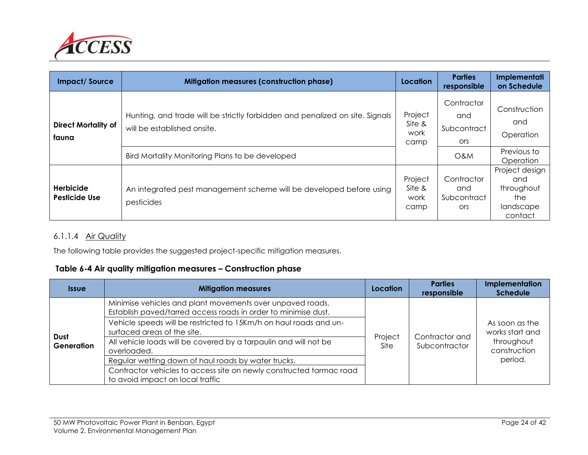

| <b>Impact/Source</b>                | <b>Mitigation measures (construction phase)</b>                                                                                                                | Location                          | <b>Parties</b><br>responsible                  | Implementati<br>on Schedule                             |
|-------------------------------------|----------------------------------------------------------------------------------------------------------------------------------------------------------------|-----------------------------------|------------------------------------------------|---------------------------------------------------------|
| <b>Direct Mortality of</b><br>fauna | Hunting, and trade will be strictly forbidden and penalized on site. Signals<br>will be established onsite.<br>Bird Mortality Monitoring Plans to be developed | Project<br>Site &<br>work<br>camp | Contractor<br>and<br>Subcontract<br>ors<br>O&M | Construction<br>and<br>Operation<br>Previous to         |
| <b>Herbicide</b><br>Pesticide Use   | An integrated pest management scheme will be developed before using<br>pesticides                                                                              | Project<br>Site &<br>work<br>camp | Contractor<br>and<br>Subcontract               | Operation<br>Project design<br>and<br>throughout<br>the |
|                                     |                                                                                                                                                                |                                   | ors                                            | landscape<br>contact                                    |

#### 6.1.1.4 Air Quality

The following table provides the suggested project-specific mitigation measures.

#### **Table 6-4 Air quality mitigation measures – Construction phase**

| <b>Issue</b>       | <b>Mitigation measures</b>                                                                                                  | Location        | <b>Parties</b><br>responsible   | Implementation<br><b>Schedule</b>                               |
|--------------------|-----------------------------------------------------------------------------------------------------------------------------|-----------------|---------------------------------|-----------------------------------------------------------------|
| Dust<br>Generation | Minimise vehicles and plant movements over unpaved roads.<br>Establish paved/tarred access roads in order to minimise dust. |                 | Contractor and<br>Subcontractor |                                                                 |
|                    | Vehicle speeds will be restricted to 15Km/h on haul roads and un-<br>surfaced areas of the site.                            |                 |                                 | As soon as the<br>works start and<br>throughout<br>construction |
|                    | All vehicle loads will be covered by a tarpaulin and will not be<br>overloaded.                                             | Project<br>Site |                                 |                                                                 |
|                    | Regular wetting down of haul roads by water trucks.                                                                         |                 |                                 | period.                                                         |
|                    | Contractor vehicles to access site on newly constructed tarmac road<br>to avoid impact on local traffic                     |                 |                                 |                                                                 |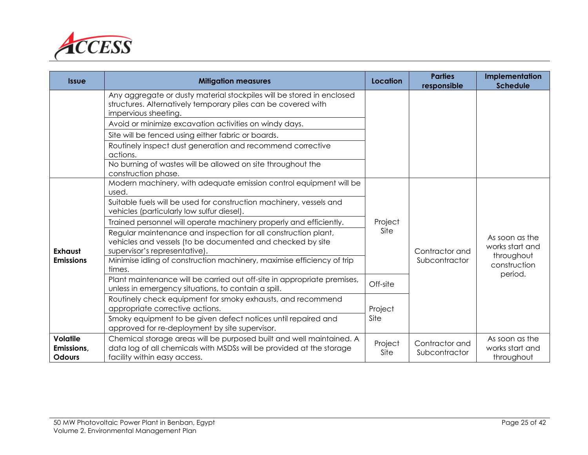

| <b>Issue</b>                                   | <b>Mitigation measures</b>                                                                                                                                                   | Location        | <b>Parties</b><br>responsible   | Implementation<br><b>Schedule</b>               |                |
|------------------------------------------------|------------------------------------------------------------------------------------------------------------------------------------------------------------------------------|-----------------|---------------------------------|-------------------------------------------------|----------------|
|                                                | Any aggregate or dusty material stockpiles will be stored in enclosed<br>structures. Alternatively temporary piles can be covered with<br>impervious sheeting.               |                 |                                 |                                                 |                |
|                                                | Avoid or minimize excavation activities on windy days.                                                                                                                       |                 |                                 |                                                 |                |
|                                                | Site will be fenced using either fabric or boards.                                                                                                                           |                 |                                 |                                                 |                |
|                                                | Routinely inspect dust generation and recommend corrective<br>actions.                                                                                                       |                 |                                 |                                                 |                |
|                                                | No burning of wastes will be allowed on site throughout the<br>construction phase.                                                                                           |                 |                                 |                                                 |                |
|                                                | Modern machinery, with adequate emission control equipment will be<br>used.                                                                                                  |                 |                                 |                                                 |                |
|                                                | Suitable fuels will be used for construction machinery, vessels and<br>vehicles (particularly low sulfur diesel).                                                            | Project<br>Site |                                 |                                                 |                |
|                                                | Trained personnel will operate machinery properly and efficiently.                                                                                                           |                 |                                 |                                                 |                |
| <b>Exhaust</b>                                 | Regular maintenance and inspection for all construction plant,<br>vehicles and vessels (to be documented and checked by site<br>supervisor's representative).                |                 |                                 |                                                 | Contractor and |
| <b>Emissions</b>                               | Minimise idling of construction machinery, maximise efficiency of trip<br>times.                                                                                             |                 | Subcontractor                   | throughout<br>construction<br>period.           |                |
|                                                | Plant maintenance will be carried out off-site in appropriate premises,<br>unless in emergency situations, to contain a spill.                                               | Off-site        |                                 |                                                 |                |
|                                                | Routinely check equipment for smoky exhausts, and recommend<br>appropriate corrective actions.                                                                               | Project         |                                 |                                                 |                |
|                                                | Smoky equipment to be given defect notices until repaired and<br>approved for re-deployment by site supervisor.                                                              | Site            |                                 |                                                 |                |
| <b>Volatile</b><br>Emissions,<br><b>Odours</b> | Chemical storage areas will be purposed built and well maintained. A<br>data log of all chemicals with MSDSs will be provided at the storage<br>facility within easy access. | Project<br>Site | Contractor and<br>Subcontractor | As soon as the<br>works start and<br>throughout |                |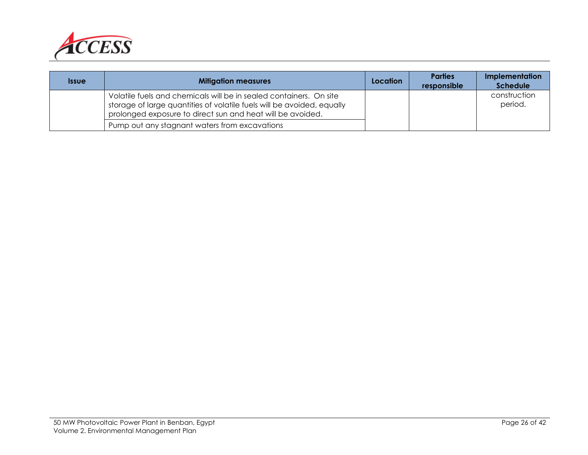

| <b>Issue</b> | <b>Mitigation measures</b>                                                                                                                                                                                 | Location | <b>Parties</b><br>responsible | Implementation<br><b>Schedule</b> |
|--------------|------------------------------------------------------------------------------------------------------------------------------------------------------------------------------------------------------------|----------|-------------------------------|-----------------------------------|
|              | Volatile fuels and chemicals will be in sealed containers. On site<br>storage of large quantities of volatile fuels will be avoided, equally<br>prolonged exposure to direct sun and heat will be avoided. |          |                               | construction<br>period.           |
|              | Pump out any stagnant waters from excavations                                                                                                                                                              |          |                               |                                   |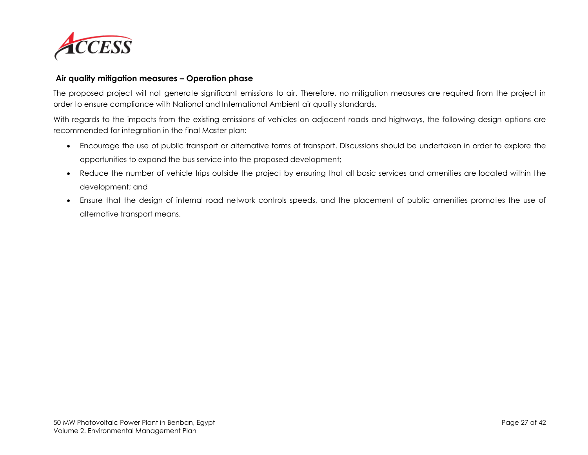

#### **Air quality mitigation measures – Operation phase**

The proposed project will not generate significant emissions to air. Therefore, no mitigation measures are required from the project in order to ensure compliance with National and International Ambient air quality standards.

With regards to the impacts from the existing emissions of vehicles on adjacent roads and highways, the following design options are recommended for integration in the final Master plan:

- Encourage the use of public transport or alternative forms of transport. Discussions should be undertaken in order to explore the opportunities to expand the bus service into the proposed development;
- Reduce the number of vehicle trips outside the project by ensuring that all basic services and amenities are located within the development; and
- Ensure that the design of internal road network controls speeds, and the placement of public amenities promotes the use of alternative transport means.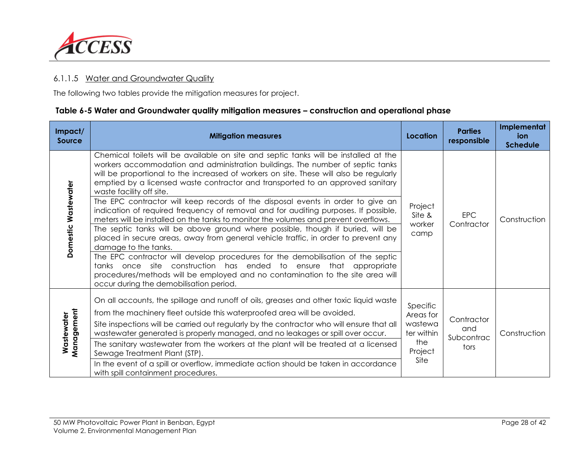

#### 6.1.1.5 Water and Groundwater Quality

The following two tables provide the mitigation measures for project.

#### **Table 6-5 Water and Groundwater quality mitigation measures – construction and operational phase**

| Impact/<br><b>Source</b> | <b>Mitigation measures</b>                                                                                                                                                                                                                                                                                                                                                                                                                                                                                                                                                                                                                                                                                                                                                                                                                                                                                                                                                                                                                                                                                                                     | Location                                                                 | <b>Parties</b><br>responsible           | Implementat<br>ion<br><b>Schedule</b> |
|--------------------------|------------------------------------------------------------------------------------------------------------------------------------------------------------------------------------------------------------------------------------------------------------------------------------------------------------------------------------------------------------------------------------------------------------------------------------------------------------------------------------------------------------------------------------------------------------------------------------------------------------------------------------------------------------------------------------------------------------------------------------------------------------------------------------------------------------------------------------------------------------------------------------------------------------------------------------------------------------------------------------------------------------------------------------------------------------------------------------------------------------------------------------------------|--------------------------------------------------------------------------|-----------------------------------------|---------------------------------------|
| Domestic Wastewater      | Chemical toilets will be available on site and septic tanks will be installed at the<br>workers accommodation and administration buildings. The number of septic tanks<br>will be proportional to the increased of workers on site. These will also be regularly<br>emptied by a licensed waste contractor and transported to an approved sanitary<br>waste facility off site.<br>The EPC contractor will keep records of the disposal events in order to give an<br>indication of required frequency of removal and for auditing purposes. If possible,<br>meters will be installed on the tanks to monitor the volumes and prevent overflows.<br>The septic tanks will be above ground where possible, though if buried, will be<br>placed in secure areas, away from general vehicle traffic, in order to prevent any<br>damage to the tanks.<br>The EPC contractor will develop procedures for the demobilisation of the septic<br>tanks once site construction has ended to<br>that<br>ensure<br>appropriate<br>procedures/methods will be employed and no contamination to the site area will<br>occur during the demobilisation period. | Project<br>Site &<br>worker<br>camp                                      | <b>EPC</b><br>Contractor                | Construction                          |
| Management<br>Wastewater | On all accounts, the spillage and runoff of oils, greases and other toxic liquid waste<br>from the machinery fleet outside this waterproofed area will be avoided.<br>Site inspections will be carried out regularly by the contractor who will ensure that all<br>wastewater generated is properly managed, and no leakages or spill over occur.<br>The sanitary wastewater from the workers at the plant will be treated at a licensed<br>Sewage Treatment Plant (STP).<br>In the event of a spill or overflow, immediate action should be taken in accordance<br>with spill containment procedures.                                                                                                                                                                                                                                                                                                                                                                                                                                                                                                                                         | Specific<br>Areas for<br>wastewa<br>ter within<br>the<br>Project<br>Site | Contractor<br>and<br>Subcontrac<br>tors | Construction                          |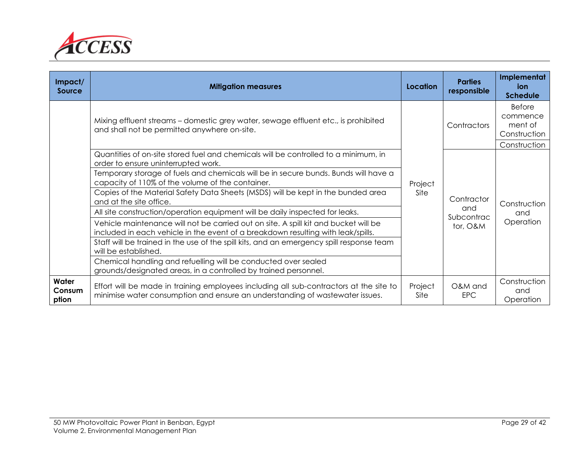

| Impact/<br>Source        | <b>Mitigation measures</b>                                                                                                                                              | Location        | <b>Parties</b><br>responsible | Implementat<br>ion<br><b>Schedule</b>                                |
|--------------------------|-------------------------------------------------------------------------------------------------------------------------------------------------------------------------|-----------------|-------------------------------|----------------------------------------------------------------------|
|                          | Mixing effluent streams – domestic grey water, sewage effluent etc., is prohibited<br>and shall not be permitted anywhere on-site.                                      | Project<br>Site | Contractors                   | <b>Before</b><br>commence<br>ment of<br>Construction<br>Construction |
|                          | Quantities of on-site stored fuel and chemicals will be controlled to a minimum, in<br>order to ensure uninterrupted work.                                              |                 | Contractor                    | Construction                                                         |
|                          | Temporary storage of fuels and chemicals will be in secure bunds. Bunds will have a<br>capacity of 110% of the volume of the container.                                 |                 |                               |                                                                      |
|                          | Copies of the Material Safety Data Sheets (MSDS) will be kept in the bunded area<br>and at the site office.                                                             |                 |                               |                                                                      |
|                          | All site construction/operation equipment will be daily inspected for leaks.                                                                                            |                 | and<br>Subcontrac             | and                                                                  |
|                          | Vehicle maintenance will not be carried out on site. A spill kit and bucket will be<br>included in each vehicle in the event of a breakdown resulting with leak/spills. |                 | tor, O&M                      | Operation                                                            |
|                          | Staff will be trained in the use of the spill kits, and an emergency spill response team<br>will be established.                                                        |                 |                               |                                                                      |
|                          | Chemical handling and refuelling will be conducted over sealed<br>grounds/designated areas, in a controlled by trained personnel.                                       |                 |                               |                                                                      |
| Water<br>Consum<br>ption | Effort will be made in training employees including all sub-contractors at the site to<br>minimise water consumption and ensure an understanding of wastewater issues.  | Project<br>Site | O&M and<br><b>EPC</b>         | Construction<br>and<br>Operation                                     |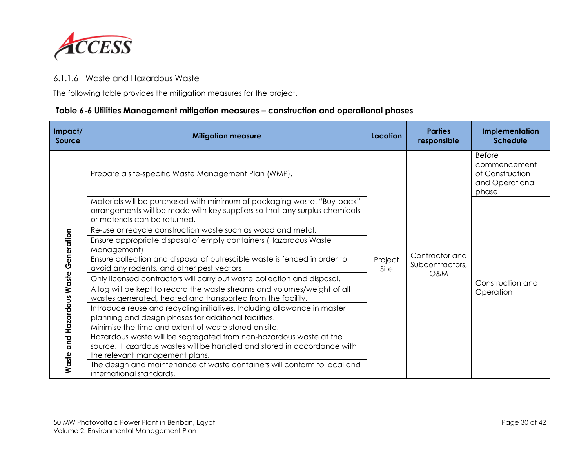

#### 6.1.1.6 Waste and Hazardous Waste

The following table provides the mitigation measures for the project.

#### **Table 6-6 Utilities Management mitigation measures – construction and operational phases**

| Impact/<br><b>Source</b>             | <b>Mitigation measure</b>                                                                                                                                                              | Location        | <b>Parties</b><br>responsible     | <b>Implementation</b><br><b>Schedule</b>                                     |
|--------------------------------------|----------------------------------------------------------------------------------------------------------------------------------------------------------------------------------------|-----------------|-----------------------------------|------------------------------------------------------------------------------|
|                                      | Prepare a site-specific Waste Management Plan (WMP).                                                                                                                                   |                 |                                   | <b>Before</b><br>commencement<br>of Construction<br>and Operational<br>phase |
|                                      | Materials will be purchased with minimum of packaging waste. "Buy-back"<br>arrangements will be made with key suppliers so that any surplus chemicals<br>or materials can be returned. |                 |                                   |                                                                              |
|                                      | Re-use or recycle construction waste such as wood and metal.                                                                                                                           |                 |                                   | Construction and<br>Operation                                                |
|                                      | Ensure appropriate disposal of empty containers (Hazardous Waste<br>Management)                                                                                                        |                 |                                   |                                                                              |
|                                      | Ensure collection and disposal of putrescible waste is fenced in order to<br>avoid any rodents, and other pest vectors                                                                 | Project<br>Site | Contractor and<br>Subcontractors, |                                                                              |
|                                      | Only licensed contractors will carry out waste collection and disposal.                                                                                                                |                 | <b>O&amp;M</b>                    |                                                                              |
| Waste and Hazardous Waste Generation | A log will be kept to record the waste streams and volumes/weight of all<br>wastes generated, treated and transported from the facility.                                               |                 |                                   |                                                                              |
|                                      | Introduce reuse and recycling initiatives. Including allowance in master<br>planning and design phases for additional facilities.                                                      |                 |                                   |                                                                              |
|                                      | Minimise the time and extent of waste stored on site.                                                                                                                                  |                 |                                   |                                                                              |
|                                      | Hazardous waste will be segregated from non-hazardous waste at the<br>source. Hazardous wastes will be handled and stored in accordance with<br>the relevant management plans.         |                 |                                   |                                                                              |
|                                      | The design and maintenance of waste containers will conform to local and<br>international standards.                                                                                   |                 |                                   |                                                                              |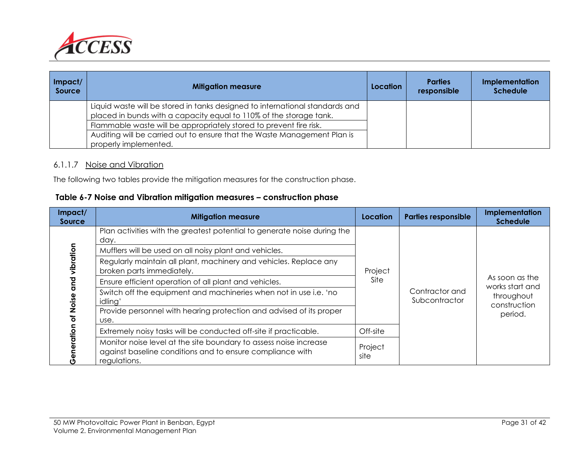

| Impat/<br>Source | <b>Mitigation measure</b>                                                                                                                          | Location | <b>Parties</b><br>responsible | Implementation<br><b>Schedule</b> |
|------------------|----------------------------------------------------------------------------------------------------------------------------------------------------|----------|-------------------------------|-----------------------------------|
|                  | Liquid waste will be stored in tanks designed to international standards and<br>placed in bunds with a capacity equal to 110% of the storage tank. |          |                               |                                   |
|                  | Flammable waste will be appropriately stored to prevent fire risk.                                                                                 |          |                               |                                   |
|                  | Auditing will be carried out to ensure that the Waste Management Plan is                                                                           |          |                               |                                   |
|                  | properly implemented.                                                                                                                              |          |                               |                                   |

#### 6.1.1.7 Noise and Vibration

The following two tables provide the mitigation measures for the construction phase.

| Table 6-7 Noise and Vibration mitigation measures – construction phase |
|------------------------------------------------------------------------|
|------------------------------------------------------------------------|

| Impact/<br><b>Source</b>                      | <b>Mitigation measure</b>                                                                                                                      | Location        | <b>Parties responsible</b>      | Implementation<br><b>Schedule</b>                               |
|-----------------------------------------------|------------------------------------------------------------------------------------------------------------------------------------------------|-----------------|---------------------------------|-----------------------------------------------------------------|
|                                               | Plan activities with the greatest potential to generate noise during the<br>day.                                                               |                 |                                 |                                                                 |
|                                               | Mufflers will be used on all noisy plant and vehicles.                                                                                         |                 |                                 | As soon as the<br>works start and<br>throughout<br>construction |
| vibration<br><b>Para</b><br>Noise<br>ō<br>ion | Regularly maintain all plant, machinery and vehicles. Replace any<br>broken parts immediately.                                                 | Project         | Contractor and<br>Subcontractor |                                                                 |
|                                               | Ensure efficient operation of all plant and vehicles.                                                                                          | Site            |                                 |                                                                 |
|                                               | Switch off the equipment and machineries when not in use i.e. 'no<br>idling'                                                                   |                 |                                 |                                                                 |
|                                               | Provide personnel with hearing protection and advised of its proper<br>use.                                                                    |                 |                                 | period.                                                         |
|                                               | Extremely noisy tasks will be conducted off-site if practicable.                                                                               | Off-site        |                                 |                                                                 |
|                                               | Monitor noise level at the site boundary to assess noise increase<br>against baseline conditions and to ensure compliance with<br>regulations. | Project<br>site |                                 |                                                                 |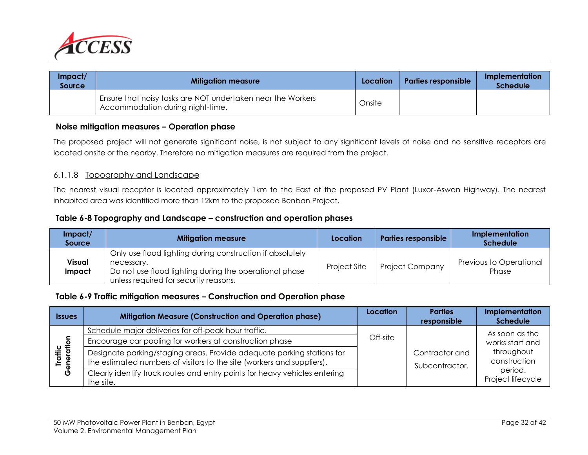

| Impact/<br>Source | <b>Mitigation measure</b>                                                                       | Location | <b>Parties responsible</b> | Implementation<br><b>Schedule</b> |
|-------------------|-------------------------------------------------------------------------------------------------|----------|----------------------------|-----------------------------------|
|                   | Ensure that noisy tasks are NOT undertaken near the Workers<br>Accommodation during night-time. | Onsite   |                            |                                   |

#### **Noise mitigation measures – Operation phase**

The proposed project will not generate significant noise, is not subject to any significant levels of noise and no sensitive receptors are located onsite or the nearby. Therefore no mitigation measures are required from the project.

#### 6.1.1.8 Topography and Landscape

The nearest visual receptor is located approximately 1km to the East of the proposed PV Plant (Luxor-Aswan Highway). The nearest inhabited area was identified more than 12km to the proposed Benban Project.

#### **Table 6-8 Topography and Landscape – construction and operation phases**

| Impect/<br>Source | <b>Mitigation measure</b>                                                                                                                                                               | Location     | <b>Parties responsible</b> | Implementation<br><b>Schedule</b> |
|-------------------|-----------------------------------------------------------------------------------------------------------------------------------------------------------------------------------------|--------------|----------------------------|-----------------------------------|
| Visual<br>Impact  | Only use flood lighting during construction if absolutely<br>necessary.<br><sup>1</sup> Do not use flood lighting during the operational phase<br>unless required for security reasons. | Project Site | <b>Project Company</b>     | Previous to Operational<br>Phase  |

#### **Table 6-9 Traffic mitigation measures – Construction and Operation phase**

| <b>Issues</b>         | <b>Mitigation Measure (Construction and Operation phase)</b>                                                                                     | Location | <b>Parties</b><br>responsible    | Implementation<br><b>Schedule</b>                                                               |
|-----------------------|--------------------------------------------------------------------------------------------------------------------------------------------------|----------|----------------------------------|-------------------------------------------------------------------------------------------------|
| Traffic<br>Generation | Schedule major deliveries for off-peak hour traffic.                                                                                             |          |                                  | As soon as the<br>works start and<br>throughout<br>construction<br>period.<br>Project lifecycle |
|                       | Encourage car pooling for workers at construction phase                                                                                          | Off-site |                                  |                                                                                                 |
|                       | Designate parking/staging areas. Provide adequate parking stations for<br>the estimated numbers of visitors to the site (workers and suppliers). |          | Contractor and<br>Subcontractor. |                                                                                                 |
|                       | Clearly identify truck routes and entry points for heavy vehicles entering<br>the site.                                                          |          |                                  |                                                                                                 |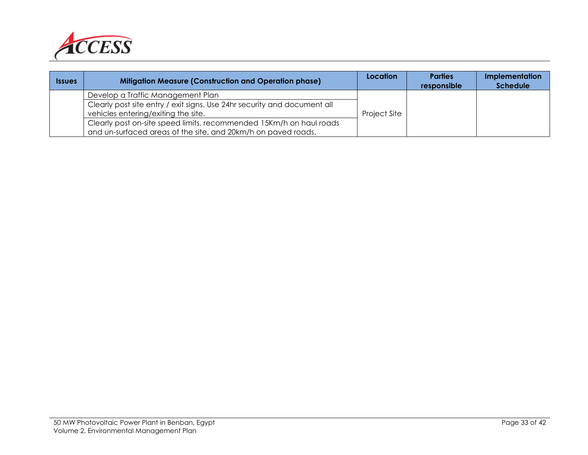

| <b>Issues</b> | <b>Mitigation Measure (Construction and Operation phase)</b>                                                                         | Location     | <b>Parties</b><br>responsible | <b>Implementation</b><br><b>Schedule</b> |
|---------------|--------------------------------------------------------------------------------------------------------------------------------------|--------------|-------------------------------|------------------------------------------|
|               | Develop a Traffic Management Plan                                                                                                    |              |                               |                                          |
|               | Clearly post site entry / exit signs. Use 24hr security and document all<br>vehicles entering/exiting the site.                      | Project Site |                               |                                          |
|               | Clearly post on-site speed limits, recommended 15Km/h on haul roads<br>and un-surfaced areas of the site, and 20km/h on paved roads. |              |                               |                                          |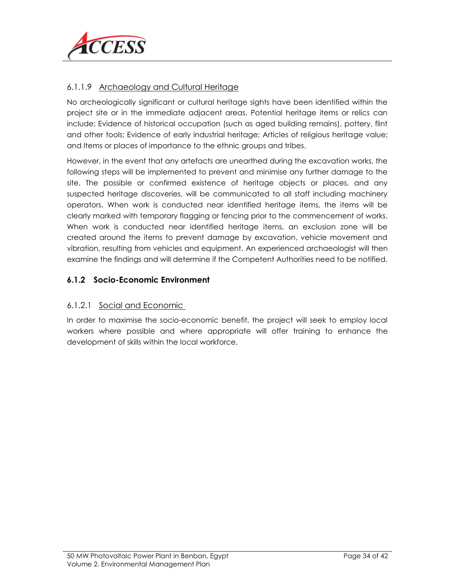

#### 6.1.1.9 Archaeology and Cultural Heritage

No archeologically significant or cultural heritage sights have been identified within the project site or in the immediate adjacent areas. Potential heritage items or relics can include: Evidence of historical occupation (such as aged building remains), pottery, flint and other tools; Evidence of early industrial heritage; Articles of religious heritage value; and Items or places of importance to the ethnic groups and tribes.

However, in the event that any artefacts are unearthed during the excavation works, the following steps will be implemented to prevent and minimise any further damage to the site. The possible or confirmed existence of heritage objects or places, and any suspected heritage discoveries, will be communicated to all staff including machinery operators. When work is conducted near identified heritage items, the items will be clearly marked with temporary flagging or fencing prior to the commencement of works. When work is conducted near identified heritage items, an exclusion zone will be created around the items to prevent damage by excavation, vehicle movement and vibration, resulting from vehicles and equipment. An experienced archaeologist will then examine the findings and will determine if the Competent Authorities need to be notified.

#### **6.1.2 Socio-Economic Environment**

#### 6.1.2.1 Social and Economic

In order to maximise the socio-economic benefit, the project will seek to employ local workers where possible and where appropriate will offer training to enhance the development of skills within the local workforce.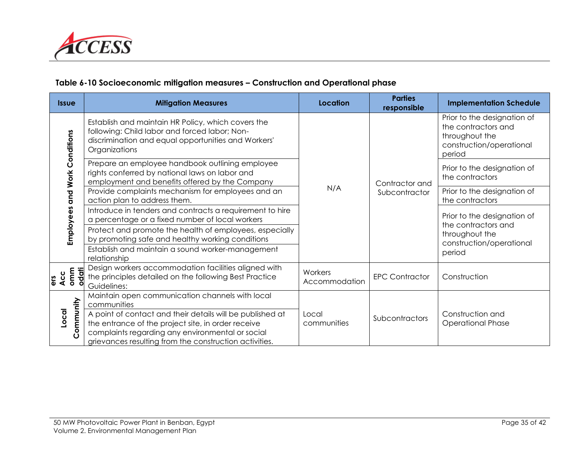

#### **Table 6-10 Socioeconomic mitigation measures – Construction and Operational phase**

|       | <b>Issue</b>                  | <b>Mitigation Measures</b>                                                                                                                                                                                                    | Location                 | <b>Parties</b><br>responsible   | <b>Implementation Schedule</b>                                                                             |
|-------|-------------------------------|-------------------------------------------------------------------------------------------------------------------------------------------------------------------------------------------------------------------------------|--------------------------|---------------------------------|------------------------------------------------------------------------------------------------------------|
|       | Employees and Work Conditions | Establish and maintain HR Policy, which covers the<br>following: Child labor and forced labor; Non-<br>discrimination and equal opportunities and Workers'<br>Organizations                                                   | N/A                      | Contractor and<br>Subcontractor | Prior to the designation of<br>the contractors and<br>throughout the<br>construction/operational<br>period |
|       |                               | Prepare an employee handbook outlining employee<br>rights conferred by national laws on labor and<br>employment and benefits offered by the Company                                                                           |                          |                                 | Prior to the designation of<br>the contractors                                                             |
|       |                               | Provide complaints mechanism for employees and an<br>action plan to address them.                                                                                                                                             |                          |                                 | Prior to the designation of<br>the contractors                                                             |
|       |                               | Introduce in tenders and contracts a requirement to hire<br>a percentage or a fixed number of local workers                                                                                                                   |                          |                                 | Prior to the designation of<br>the contractors and<br>throughout the<br>construction/operational<br>period |
|       |                               | Protect and promote the health of employees, especially<br>by promoting safe and healthy working conditions                                                                                                                   |                          |                                 |                                                                                                            |
|       |                               | Establish and maintain a sound worker-management<br>relationship                                                                                                                                                              |                          |                                 |                                                                                                            |
| ers   | odati<br>Acc<br>omm           | Design workers accommodation facilities aligned with<br>the principles detailed on the following Best Practice<br>Guidelines:                                                                                                 | Workers<br>Accommodation | <b>EPC Contractor</b>           | Construction                                                                                               |
|       |                               | Maintain open communication channels with local<br>communities                                                                                                                                                                |                          |                                 |                                                                                                            |
| Local | Community                     | A point of contact and their details will be published at<br>the entrance of the project site, in order receive<br>complaints regarding any environmental or social<br>grievances resulting from the construction activities. | Local<br>communities     | Subcontractors                  | Construction and<br><b>Operational Phase</b>                                                               |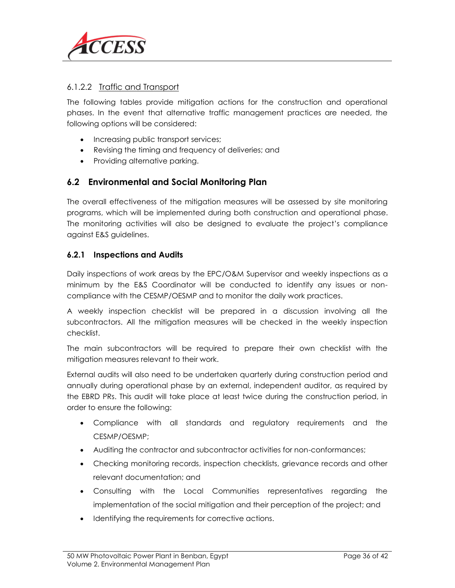

#### 6.1.2.2 Traffic and Transport

The following tables provide mitigation actions for the construction and operational phases. In the event that alternative traffic management practices are needed, the following options will be considered:

- Increasing public transport services;
- Revising the timing and frequency of deliveries; and
- Providing alternative parking.

#### **6.2 Environmental and Social Monitoring Plan**

The overall effectiveness of the mitigation measures will be assessed by site monitoring programs, which will be implemented during both construction and operational phase. The monitoring activities will also be designed to evaluate the project's compliance against E&S guidelines.

#### **6.2.1 Inspections and Audits**

Daily inspections of work areas by the EPC/O&M Supervisor and weekly inspections as a minimum by the E&S Coordinator will be conducted to identify any issues or noncompliance with the CESMP/OESMP and to monitor the daily work practices.

A weekly inspection checklist will be prepared in a discussion involving all the subcontractors. All the mitigation measures will be checked in the weekly inspection checklist.

The main subcontractors will be required to prepare their own checklist with the mitigation measures relevant to their work.

External audits will also need to be undertaken quarterly during construction period and annually during operational phase by an external, independent auditor, as required by the EBRD PRs. This audit will take place at least twice during the construction period, in order to ensure the following:

- Compliance with all standards and regulatory requirements and the CESMP/OESMP;
- Auditing the contractor and subcontractor activities for non-conformances;
- Checking monitoring records, inspection checklists, grievance records and other relevant documentation; and
- Consulting with the Local Communities representatives regarding the implementation of the social mitigation and their perception of the project; and
- Identifying the requirements for corrective actions.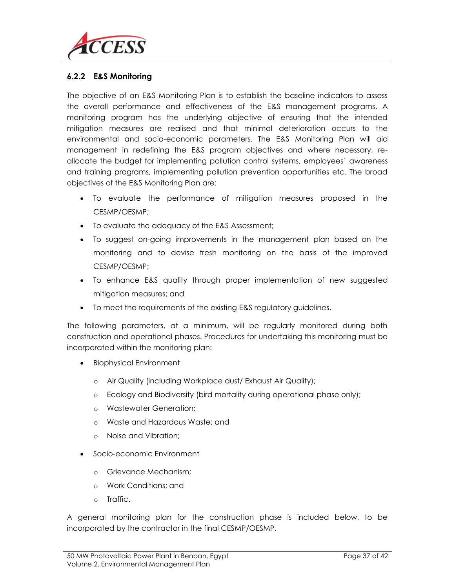

#### **6.2.2 E&S Monitoring**

The objective of an E&S Monitoring Plan is to establish the baseline indicators to assess the overall performance and effectiveness of the E&S management programs. A monitoring program has the underlying objective of ensuring that the intended mitigation measures are realised and that minimal deterioration occurs to the environmental and socio-economic parameters. The E&S Monitoring Plan will aid management in redefining the E&S program objectives and where necessary, reallocate the budget for implementing pollution control systems, employees' awareness and training programs, implementing pollution prevention opportunities etc. The broad objectives of the E&S Monitoring Plan are:

- To evaluate the performance of mitigation measures proposed in the CESMP/OESMP;
- To evaluate the adequacy of the E&S Assessment;
- To suggest on-going improvements in the management plan based on the monitoring and to devise fresh monitoring on the basis of the improved CESMP/OESMP;
- To enhance E&S quality through proper implementation of new suggested mitigation measures; and
- To meet the requirements of the existing E&S regulatory guidelines.

The following parameters, at a minimum, will be regularly monitored during both construction and operational phases. Procedures for undertaking this monitoring must be incorporated within the monitoring plan:

- Biophysical Environment
	- o Air Quality (including Workplace dust/ Exhaust Air Quality);
	- o Ecology and Biodiversity (bird mortality during operational phase only);
	- o Wastewater Generation;
	- o Waste and Hazardous Waste; and
	- o Noise and Vibration;
- Socio-economic Environment
	- o Grievance Mechanism;
	- o Work Conditions; and
	- o Traffic.

A general monitoring plan for the construction phase is included below, to be incorporated by the contractor in the final CESMP/OESMP.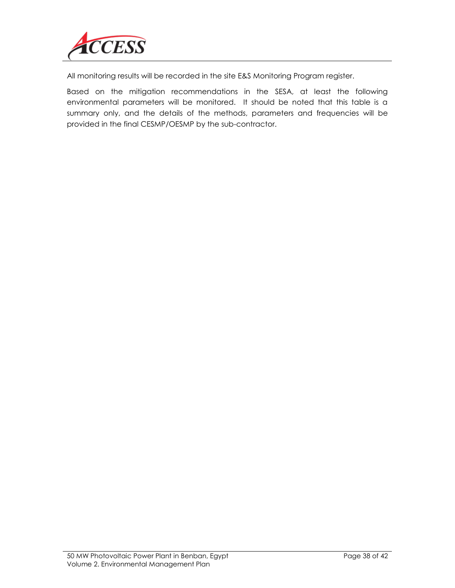

All monitoring results will be recorded in the site E&S Monitoring Program register.

Based on the mitigation recommendations in the SESA, at least the following environmental parameters will be monitored. It should be noted that this table is a summary only, and the details of the methods, parameters and frequencies will be provided in the final CESMP/OESMP by the sub-contractor.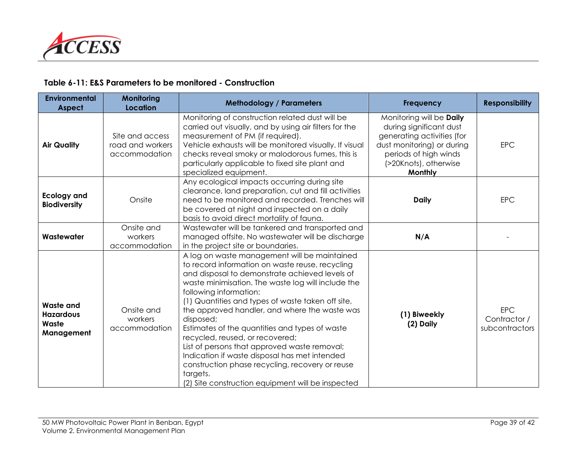

#### **Table 6-11: E&S Parameters to be monitored - Construction**

| <b>Environmental</b><br><b>Aspect</b>                       | Monitoring<br><b>Location</b>                        | <b>Methodology / Parameters</b>                                                                                                                                                                                                                                                                                                                                                                                                                                                                                                                                                                                                                                | <b>Frequency</b>                                                                                                                                                             | <b>Responsibility</b>                        |
|-------------------------------------------------------------|------------------------------------------------------|----------------------------------------------------------------------------------------------------------------------------------------------------------------------------------------------------------------------------------------------------------------------------------------------------------------------------------------------------------------------------------------------------------------------------------------------------------------------------------------------------------------------------------------------------------------------------------------------------------------------------------------------------------------|------------------------------------------------------------------------------------------------------------------------------------------------------------------------------|----------------------------------------------|
| <b>Air Quality</b>                                          | Site and access<br>road and workers<br>accommodation | Monitoring of construction related dust will be<br>carried out visually, and by using air filters for the<br>measurement of PM (if required).<br>Vehicle exhausts will be monitored visually. If visual<br>checks reveal smoky or malodorous fumes, this is<br>particularly applicable to fixed site plant and<br>specialized equipment.                                                                                                                                                                                                                                                                                                                       | Monitoring will be Daily<br>during significant dust<br>generating activities (for<br>dust monitoring) or during<br>periods of high winds<br>(>20Knots), otherwise<br>Monthly | <b>EPC</b>                                   |
| <b>Ecology and</b><br><b>Biodiversity</b>                   | Onsite                                               | Any ecological impacts occurring during site<br>clearance, land preparation, cut and fill activities<br>need to be monitored and recorded. Trenches will<br>be covered at night and inspected on a daily<br>basis to avoid direct mortality of fauna.                                                                                                                                                                                                                                                                                                                                                                                                          | <b>Daily</b>                                                                                                                                                                 | <b>EPC</b>                                   |
| Wastewater                                                  | Onsite and<br>workers<br>accommodation               | Wastewater will be tankered and transported and<br>managed offsite. No wastewater will be discharge<br>in the project site or boundaries.                                                                                                                                                                                                                                                                                                                                                                                                                                                                                                                      | N/A                                                                                                                                                                          |                                              |
| <b>Waste and</b><br><b>Hazardous</b><br>Waste<br>Management | Onsite and<br>workers<br>accommodation               | A log on waste management will be maintained<br>to record information on waste reuse, recycling<br>and disposal to demonstrate achieved levels of<br>waste minimisation. The waste log will include the<br>following information:<br>(1) Quantities and types of waste taken off site,<br>the approved handler, and where the waste was<br>disposed;<br>Estimates of the quantities and types of waste<br>recycled, reused, or recovered;<br>List of persons that approved waste removal;<br>Indication if waste disposal has met intended<br>construction phase recycling, recovery or reuse<br>targets.<br>(2) Site construction equipment will be inspected | (1) Biweekly<br>(2) Daily                                                                                                                                                    | <b>EPC</b><br>Contractor /<br>subcontractors |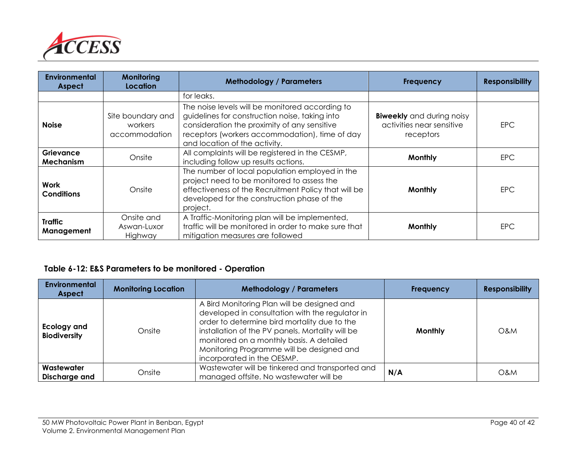

| <b>Environmental</b><br><b>Aspect</b> | Monitoring<br>Location                        | <b>Methodology / Parameters</b>                                                                                                                                                                                                      | <b>Frequency</b>                                                           | <b>Responsibility</b> |
|---------------------------------------|-----------------------------------------------|--------------------------------------------------------------------------------------------------------------------------------------------------------------------------------------------------------------------------------------|----------------------------------------------------------------------------|-----------------------|
|                                       |                                               | for leaks.                                                                                                                                                                                                                           |                                                                            |                       |
| <b>Noise</b>                          | Site boundary and<br>workers<br>accommodation | The noise levels will be monitored according to<br>guidelines for construction noise, taking into<br>consideration the proximity of any sensitive<br>receptors (workers accommodation), time of day<br>and location of the activity. | <b>Biweekly</b> and during noisy<br>activities near sensitive<br>receptors | <b>EPC</b>            |
| <b>Grievance</b><br>Mechanism         | Onsite                                        | All complaints will be registered in the CESMP,<br>including follow up results actions.                                                                                                                                              | Monthly                                                                    | <b>EPC</b>            |
| Work<br><b>Conditions</b>             | Onsite                                        | The number of local population employed in the<br>project need to be monitored to assess the<br>effectiveness of the Recruitment Policy that will be<br>developed for the construction phase of the<br>project.                      | Monthly                                                                    | <b>EPC</b>            |
| <b>Traffic</b><br>Management          | Onsite and<br>Aswan-Luxor<br>Highway          | A Traffic-Monitoring plan will be implemented,<br>traffic will be monitored in order to make sure that<br>mitigation measures are followed                                                                                           | Monthly                                                                    | <b>EPC</b>            |

#### **Table 6-12: E&S Parameters to be monitored - Operation**

| <b>Environmental</b><br><b>Aspect</b> | <b>Monitoring Location</b> | <b>Methodology / Parameters</b>                                                                                                                                                                                                                                                                                           | <b>Frequency</b> | <b>Responsibility</b> |
|---------------------------------------|----------------------------|---------------------------------------------------------------------------------------------------------------------------------------------------------------------------------------------------------------------------------------------------------------------------------------------------------------------------|------------------|-----------------------|
| Ecology and<br><b>Biodiversity</b>    | Onsite                     | A Bird Monitoring Plan will be designed and<br>developed in consultation with the regulator in<br>order to determine bird mortality due to the<br>installation of the PV panels. Mortality will be<br>monitored on a monthly basis. A detailed<br>Monitoring Programme will be designed and<br>incorporated in the OESMP. | <b>Monthly</b>   | O&M                   |
| Wastewater<br>Discharge and           | Onsite                     | Wastewater will be tinkered and transported and<br>managed offsite. No wastewater will be                                                                                                                                                                                                                                 | N/A              | O&M                   |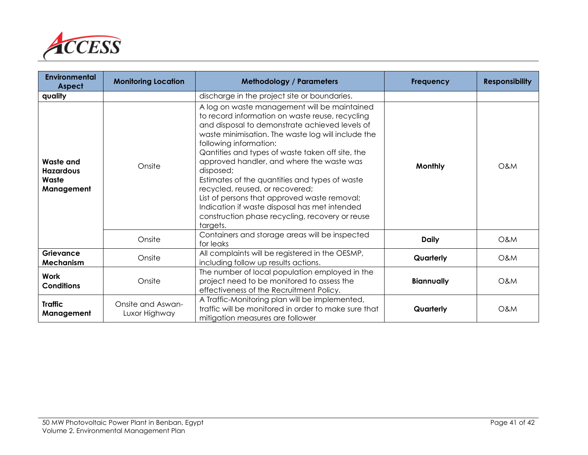

| <b>Environmental</b><br><b>Aspect</b>                       | <b>Monitoring Location</b>         | <b>Methodology / Parameters</b>                                                                                                                                                                                                                                                                                                                                                                                                                                                                                                                                                                      | <b>Frequency</b>  | <b>Responsibility</b> |
|-------------------------------------------------------------|------------------------------------|------------------------------------------------------------------------------------------------------------------------------------------------------------------------------------------------------------------------------------------------------------------------------------------------------------------------------------------------------------------------------------------------------------------------------------------------------------------------------------------------------------------------------------------------------------------------------------------------------|-------------------|-----------------------|
| quality                                                     |                                    | discharge in the project site or boundaries.                                                                                                                                                                                                                                                                                                                                                                                                                                                                                                                                                         |                   |                       |
| <b>Waste and</b><br><b>Hazardous</b><br>Waste<br>Management | Onsite                             | A log on waste management will be maintained<br>to record information on waste reuse, recycling<br>and disposal to demonstrate achieved levels of<br>waste minimisation. The waste log will include the<br>following information:<br>Qantities and types of waste taken off site, the<br>approved handler, and where the waste was<br>disposed;<br>Estimates of the quantities and types of waste<br>recycled, reused, or recovered;<br>List of persons that approved waste removal;<br>Indication if waste disposal has met intended<br>construction phase recycling, recovery or reuse<br>targets. | <b>Monthly</b>    | O&M                   |
|                                                             | Onsite                             | Containers and storage areas will be inspected<br>for leaks                                                                                                                                                                                                                                                                                                                                                                                                                                                                                                                                          | <b>Daily</b>      | O&M                   |
| <b>Grievance</b><br>Mechanism                               | Onsite                             | All complaints will be registered in the OESMP,<br>including follow up results actions.                                                                                                                                                                                                                                                                                                                                                                                                                                                                                                              | Quarterly         | O&M                   |
| <b>Work</b><br><b>Conditions</b>                            | Onsite                             | The number of local population employed in the<br>project need to be monitored to assess the<br>effectiveness of the Recruitment Policy.                                                                                                                                                                                                                                                                                                                                                                                                                                                             | <b>Biannually</b> | <b>O&amp;M</b>        |
| <b>Traffic</b><br>Management                                | Onsite and Aswan-<br>Luxor Highway | A Traffic-Monitoring plan will be implemented,<br>traffic will be monitored in order to make sure that<br>mitigation measures are follower                                                                                                                                                                                                                                                                                                                                                                                                                                                           | Quarterly         | O&M                   |